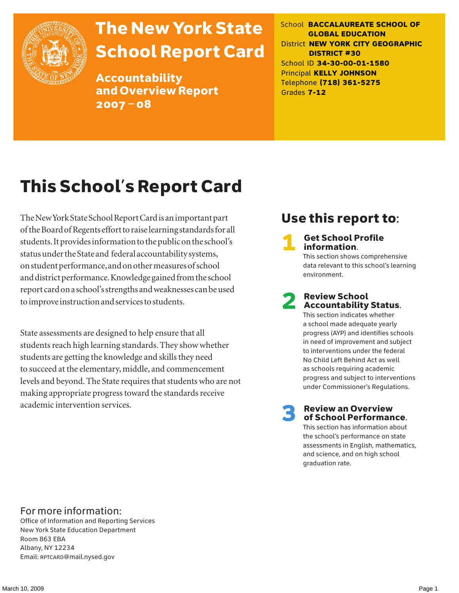

# The New York State School Report Card

Accountability and Overview Report 2007–08

School **BACCALAUREATE SCHOOL OF GLOBAL EDUCATION** District **NEW YORK CITY GEOGRAPHIC DISTRICT #30** School ID **34-30-00-01-1580** Principal **KELLY JOHNSON** Telephone **(718) 361-5275** Grades **7-12**

# This School's Report Card

The New York State School Report Card is an important part of the Board of Regents effort to raise learning standards for all students. It provides information to the public on the school's status under the State and federal accountability systems, on student performance, and on other measures of school and district performance. Knowledge gained from the school report card on a school's strengths and weaknesses can be used to improve instruction and services to students.

State assessments are designed to help ensure that all students reach high learning standards. They show whether students are getting the knowledge and skills they need to succeed at the elementary, middle, and commencement levels and beyond. The State requires that students who are not making appropriate progress toward the standards receive academic intervention services.

## Use this report to:

**Get School Profile** information.

This section shows comprehensive data relevant to this school's learning environment.

# 2 Review School Accountability Status.

This section indicates whether a school made adequate yearly progress (AYP) and identifies schools in need of improvement and subject to interventions under the federal No Child Left Behind Act as well as schools requiring academic progress and subject to interventions under Commissioner's Regulations.

**Review an Overview** of School Performance.

This section has information about the school's performance on state assessments in English, mathematics, and science, and on high school graduation rate.

### For more information:

Office of Information and Reporting Services New York State Education Department Room 863 EBA Albany, NY 12234 Email: RPTCARD@mail.nysed.gov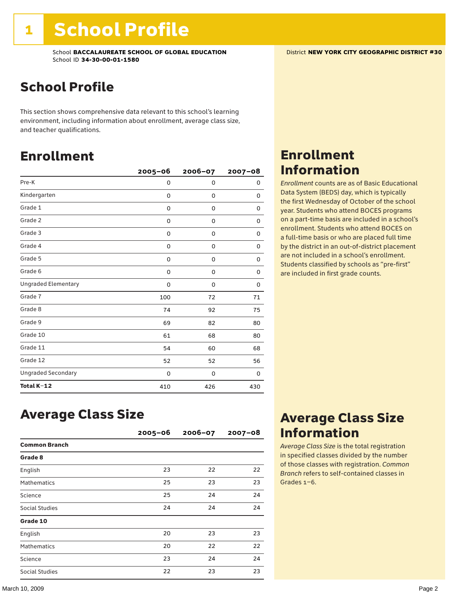## School Profile

This section shows comprehensive data relevant to this school's learning environment, including information about enrollment, average class size, and teacher qualifications.

### Enrollment

|                            | $2005 - 06$ | 2006-07 | $2007 - 08$ |
|----------------------------|-------------|---------|-------------|
| Pre-K                      | 0           | 0       | 0           |
| Kindergarten               | 0           | 0       | 0           |
| Grade 1                    | 0           | 0       | 0           |
| Grade 2                    | 0           | 0       | 0           |
| Grade 3                    | 0           | 0       | 0           |
| Grade 4                    | 0           | 0       | 0           |
| Grade 5                    | 0           | 0       | 0           |
| Grade 6                    | 0           | 0       | 0           |
| <b>Ungraded Elementary</b> | 0           | 0       | 0           |
| Grade 7                    | 100         | 72      | 71          |
| Grade 8                    | 74          | 92      | 75          |
| Grade 9                    | 69          | 82      | 80          |
| Grade 10                   | 61          | 68      | 80          |
| Grade 11                   | 54          | 60      | 68          |
| Grade 12                   | 52          | 52      | 56          |
| <b>Ungraded Secondary</b>  | 0           | 0       | 0           |
| Total K-12                 | 410         | 426     | 430         |

## Enrollment Information

*Enrollment* counts are as of Basic Educational Data System (BEDS) day, which is typically the first Wednesday of October of the school year. Students who attend BOCES programs on a part-time basis are included in a school's enrollment. Students who attend BOCES on a full-time basis or who are placed full time by the district in an out-of-district placement are not included in a school's enrollment. Students classified by schools as "pre-first" are included in first grade counts.

### Average Class Size

|                      | $2005 - 06$ | $2006 - 07$ | $2007 - 08$ |
|----------------------|-------------|-------------|-------------|
| <b>Common Branch</b> |             |             |             |
| Grade 8              |             |             |             |
| English              | 23          | 22          | 22          |
| <b>Mathematics</b>   | 25          | 23          | 23          |
| Science              | 25          | 24          | 24          |
| Social Studies       | 24          | 24          | 24          |
| Grade 10             |             |             |             |
| English              | 20          | 23          | 23          |
| <b>Mathematics</b>   | 20          | 22          | 22          |
| Science              | 23          | 24          | 24          |
| Social Studies       | 22          | 23          | 23          |

### Average Class Size Information

*Average Class Size* is the total registration in specified classes divided by the number of those classes with registration. *Common Branch* refers to self-contained classes in Grades 1–6.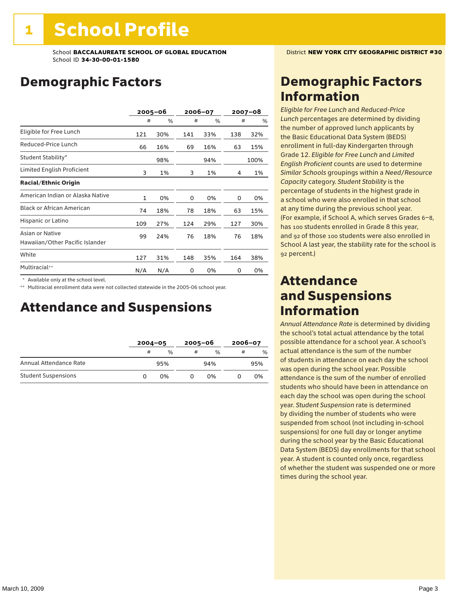## Demographic Factors

|                                                    |              | $2005 - 06$ |     | 2006-07 |     | 2007-08 |
|----------------------------------------------------|--------------|-------------|-----|---------|-----|---------|
|                                                    | #            | %           | #   | %       | #   | %       |
| Eligible for Free Lunch                            | 121          | 30%         | 141 | 33%     | 138 | 32%     |
| Reduced-Price Lunch                                | 66           | 16%         | 69  | 16%     | 63  | 15%     |
| Student Stability*                                 |              | 98%         |     | 94%     |     | 100%    |
| Limited English Proficient                         | 3            | 1%          | 3   | 1%      | 4   | 1%      |
| <b>Racial/Ethnic Origin</b>                        |              |             |     |         |     |         |
| American Indian or Alaska Native                   | $\mathbf{1}$ | 0%          | 0   | 0%      | 0   | 0%      |
| <b>Black or African American</b>                   | 74           | 18%         | 78  | 18%     | 63  | 15%     |
| Hispanic or Latino                                 | 109          | 27%         | 124 | 29%     | 127 | 30%     |
| Asian or Native<br>Hawaiian/Other Pacific Islander | 99           | 24%         | 76  | 18%     | 76  | 18%     |
| White                                              | 127          | 31%         | 148 | 35%     | 164 | 38%     |
| Multiracial**                                      | N/A          | N/A         | 0   | 0%      | 0   | 0%      |

\* Available only at the school level.

\*\* Multiracial enrollment data were not collected statewide in the 2005-06 school year.

### Attendance and Suspensions

|                            |   | $2004 - 05$ |   | $2005 - 06$ |   | $2006 - 07$ |  |
|----------------------------|---|-------------|---|-------------|---|-------------|--|
|                            | # | $\%$        | # | $\%$        | # | %           |  |
| Annual Attendance Rate     |   | 95%         |   | 94%         |   | 95%         |  |
| <b>Student Suspensions</b> | O | በ%          |   | በ%          |   | 0%          |  |

## Demographic Factors Information

*Eligible for Free Lunch* and *Reduced*-*Price Lunch* percentages are determined by dividing the number of approved lunch applicants by the Basic Educational Data System (BEDS) enrollment in full-day Kindergarten through Grade 12. *Eligible for Free Lunch* and *Limited English Proficient* counts are used to determine *Similar Schools* groupings within a *Need*/*Resource Capacity* category. *Student Stability* is the percentage of students in the highest grade in a school who were also enrolled in that school at any time during the previous school year. (For example, if School A, which serves Grades 6–8, has 100 students enrolled in Grade 8 this year, and 92 of those 100 students were also enrolled in School A last year, the stability rate for the school is 92 percent.)

### Attendance and Suspensions Information

*Annual Attendance Rate* is determined by dividing the school's total actual attendance by the total possible attendance for a school year. A school's actual attendance is the sum of the number of students in attendance on each day the school was open during the school year. Possible attendance is the sum of the number of enrolled students who should have been in attendance on each day the school was open during the school year. *Student Suspension* rate is determined by dividing the number of students who were suspended from school (not including in-school suspensions) for one full day or longer anytime during the school year by the Basic Educational Data System (BEDS) day enrollments for that school year. A student is counted only once, regardless of whether the student was suspended one or more times during the school year.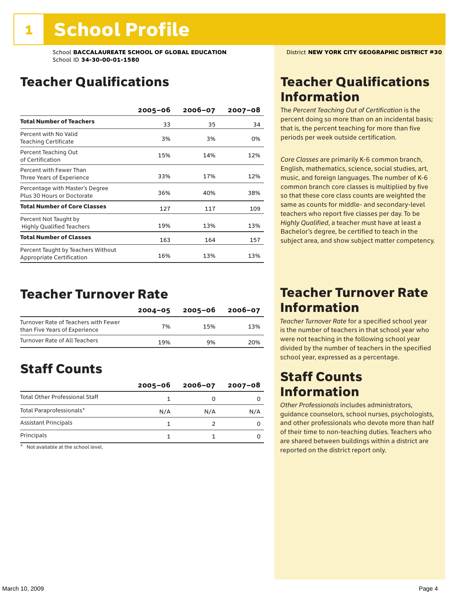## Teacher Qualifications

|                                                                 | $2005 - 06$ | $2006 - 07$ | 2007-08 |
|-----------------------------------------------------------------|-------------|-------------|---------|
| <b>Total Number of Teachers</b>                                 | 33          | 35          | 34      |
| Percent with No Valid<br>Teaching Certificate                   | 3%          | 3%          | 0%      |
| Percent Teaching Out<br>of Certification                        | 15%         | 14%         | 12%     |
| Percent with Fewer Than<br>Three Years of Experience            | 33%         | 17%         | 12%     |
| Percentage with Master's Degree<br>Plus 30 Hours or Doctorate   | 36%         | 40%         | 38%     |
| <b>Total Number of Core Classes</b>                             | 127         | 117         | 109     |
| Percent Not Taught by<br><b>Highly Qualified Teachers</b>       | 19%         | 13%         | 13%     |
| <b>Total Number of Classes</b>                                  | 163         | 164         | 157     |
| Percent Taught by Teachers Without<br>Appropriate Certification | 16%         | 13%         | 13%     |

### Teacher Turnover Rate

|                                                                       | $2004 - 05$ | 2005-06 | 2006-07 |
|-----------------------------------------------------------------------|-------------|---------|---------|
| Turnover Rate of Teachers with Fewer<br>than Five Years of Experience | 7%          | 15%     | 13%     |
| Turnover Rate of All Teachers                                         | 19%         | 9%      | 20%     |

## Staff Counts

|                                       | $2005 - 06$ | $2006 - 07$ | $2007 - 08$ |
|---------------------------------------|-------------|-------------|-------------|
| <b>Total Other Professional Staff</b> |             |             |             |
| Total Paraprofessionals*              | N/A         | N/A         | N/A         |
| <b>Assistant Principals</b>           |             |             |             |
| Principals                            |             |             |             |

\* Not available at the school level.

## Teacher Qualifications Information

The *Percent Teaching Out of Certification* is the percent doing so more than on an incidental basis; that is, the percent teaching for more than five periods per week outside certification.

*Core Classes* are primarily K-6 common branch, English, mathematics, science, social studies, art, music, and foreign languages. The number of K-6 common branch core classes is multiplied by five so that these core class counts are weighted the same as counts for middle- and secondary-level teachers who report five classes per day. To be *Highly Qualified*, a teacher must have at least a Bachelor's degree, be certified to teach in the subject area, and show subject matter competency.

### Teacher Turnover Rate Information

*Teacher Turnover Rate* for a specified school year is the number of teachers in that school year who were not teaching in the following school year divided by the number of teachers in the specified school year, expressed as a percentage.

## Staff Counts Information

*Other Professionals* includes administrators, guidance counselors, school nurses, psychologists, and other professionals who devote more than half of their time to non-teaching duties. Teachers who are shared between buildings within a district are reported on the district report only.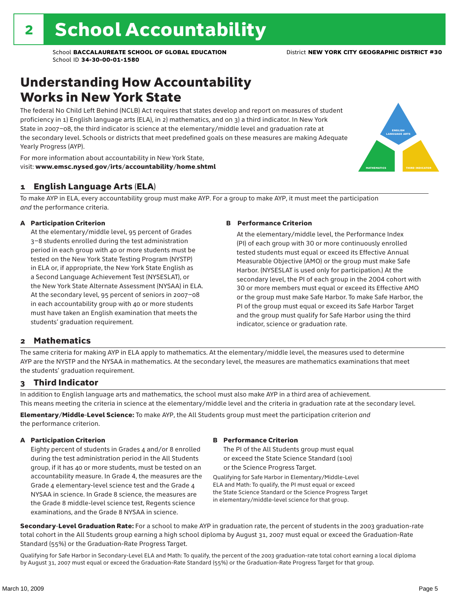## Understanding How Accountability Works in New York State

The federal No Child Left Behind (NCLB) Act requires that states develop and report on measures of student proficiency in 1) English language arts (ELA), in 2) mathematics, and on 3) a third indicator. In New York State in 2007–08, the third indicator is science at the elementary/middle level and graduation rate at the secondary level. Schools or districts that meet predefined goals on these measures are making Adequate Yearly Progress (AYP).



For more information about accountability in New York State, visit: www.emsc.nysed.gov/irts/accountability/home.shtml

### 1 English Language Arts (ELA)

To make AYP in ELA, every accountability group must make AYP. For a group to make AYP, it must meet the participation *and* the performance criteria.

### A Participation Criterion

At the elementary/middle level, 95 percent of Grades 3–8 students enrolled during the test administration period in each group with 40 or more students must be tested on the New York State Testing Program (NYSTP) in ELA or, if appropriate, the New York State English as a Second Language Achievement Test (NYSESLAT), or the New York State Alternate Assessment (NYSAA) in ELA. At the secondary level, 95 percent of seniors in 2007–08 in each accountability group with 40 or more students must have taken an English examination that meets the students' graduation requirement.

#### B Performance Criterion

At the elementary/middle level, the Performance Index (PI) of each group with 30 or more continuously enrolled tested students must equal or exceed its Effective Annual Measurable Objective (AMO) or the group must make Safe Harbor. (NYSESLAT is used only for participation.) At the secondary level, the PI of each group in the 2004 cohort with 30 or more members must equal or exceed its Effective AMO or the group must make Safe Harbor. To make Safe Harbor, the PI of the group must equal or exceed its Safe Harbor Target and the group must qualify for Safe Harbor using the third indicator, science or graduation rate.

### 2 Mathematics

The same criteria for making AYP in ELA apply to mathematics. At the elementary/middle level, the measures used to determine AYP are the NYSTP and the NYSAA in mathematics. At the secondary level, the measures are mathematics examinations that meet the students' graduation requirement.

### 3 Third Indicator

In addition to English language arts and mathematics, the school must also make AYP in a third area of achievement. This means meeting the criteria in science at the elementary/middle level and the criteria in graduation rate at the secondary level.

Elementary/Middle-Level Science: To make AYP, the All Students group must meet the participation criterion *and* the performance criterion.

#### A Participation Criterion

Eighty percent of students in Grades 4 and/or 8 enrolled during the test administration period in the All Students group, if it has 40 or more students, must be tested on an accountability measure. In Grade 4, the measures are the Grade 4 elementary-level science test and the Grade 4 NYSAA in science. In Grade 8 science, the measures are the Grade 8 middle-level science test, Regents science examinations, and the Grade 8 NYSAA in science.

#### B Performance Criterion

The PI of the All Students group must equal or exceed the State Science Standard (100) or the Science Progress Target.

Qualifying for Safe Harbor in Elementary/Middle-Level ELA and Math: To qualify, the PI must equal or exceed the State Science Standard or the Science Progress Target in elementary/middle-level science for that group.

Secondary-Level Graduation Rate: For a school to make AYP in graduation rate, the percent of students in the 2003 graduation-rate total cohort in the All Students group earning a high school diploma by August 31, 2007 must equal or exceed the Graduation-Rate Standard (55%) or the Graduation-Rate Progress Target.

Qualifying for Safe Harbor in Secondary-Level ELA and Math: To qualify, the percent of the 2003 graduation-rate total cohort earning a local diploma by August 31, 2007 must equal or exceed the Graduation-Rate Standard (55%) or the Graduation-Rate Progress Target for that group.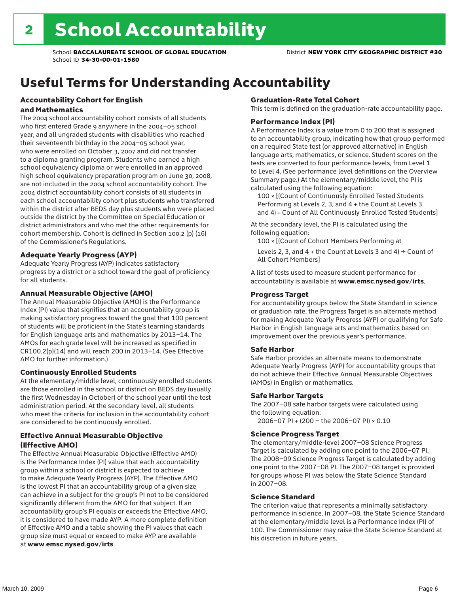## Useful Terms for Understanding Accountability

### Accountability Cohort for English and Mathematics

The 2004 school accountability cohort consists of all students who first entered Grade 9 anywhere in the 2004–05 school year, and all ungraded students with disabilities who reached their seventeenth birthday in the 2004–05 school year, who were enrolled on October 3, 2007 and did not transfer to a diploma granting program. Students who earned a high school equivalency diploma or were enrolled in an approved high school equivalency preparation program on June 30, 2008, are not included in the 2004 school accountability cohort. The 2004 district accountability cohort consists of all students in each school accountability cohort plus students who transferred within the district after BEDS day plus students who were placed outside the district by the Committee on Special Education or district administrators and who met the other requirements for cohort membership. Cohort is defined in Section 100.2 (p) (16) of the Commissioner's Regulations.

### Adequate Yearly Progress (AYP)

Adequate Yearly Progress (AYP) indicates satisfactory progress by a district or a school toward the goal of proficiency for all students.

### Annual Measurable Objective (AMO)

The Annual Measurable Objective (AMO) is the Performance Index (PI) value that signifies that an accountability group is making satisfactory progress toward the goal that 100 percent of students will be proficient in the State's learning standards for English language arts and mathematics by 2013–14. The AMOs for each grade level will be increased as specified in CR100.2(p)(14) and will reach 200 in 2013–14. (See Effective AMO for further information.)

### Continuously Enrolled Students

At the elementary/middle level, continuously enrolled students are those enrolled in the school or district on BEDS day (usually the first Wednesday in October) of the school year until the test administration period. At the secondary level, all students who meet the criteria for inclusion in the accountability cohort are considered to be continuously enrolled.

### Effective Annual Measurable Objective (Effective AMO)

The Effective Annual Measurable Objective (Effective AMO) is the Performance Index (PI) value that each accountability group within a school or district is expected to achieve to make Adequate Yearly Progress (AYP). The Effective AMO is the lowest PI that an accountability group of a given size can achieve in a subject for the group's PI not to be considered significantly different from the AMO for that subject. If an accountability group's PI equals or exceeds the Effective AMO, it is considered to have made AYP. A more complete definition of Effective AMO and a table showing the PI values that each group size must equal or exceed to make AYP are available at www.emsc.nysed.gov/irts.

### Graduation-Rate Total Cohort

This term is defined on the graduation-rate accountability page.

#### Performance Index (PI)

A Performance Index is a value from 0 to 200 that is assigned to an accountability group, indicating how that group performed on a required State test (or approved alternative) in English language arts, mathematics, or science. Student scores on the tests are converted to four performance levels, from Level 1 to Level 4. (See performance level definitions on the Overview Summary page.) At the elementary/middle level, the PI is calculated using the following equation:

100 × [(Count of Continuously Enrolled Tested Students Performing at Levels 2, 3, and 4 + the Count at Levels 3 and 4) ÷ Count of All Continuously Enrolled Tested Students]

At the secondary level, the PI is calculated using the following equation:

100 × [(Count of Cohort Members Performing at

Levels 2, 3, and 4 + the Count at Levels 3 and 4)  $\div$  Count of All Cohort Members]

A list of tests used to measure student performance for accountability is available at www.emsc.nysed.gov/irts.

#### Progress Target

For accountability groups below the State Standard in science or graduation rate, the Progress Target is an alternate method for making Adequate Yearly Progress (AYP) or qualifying for Safe Harbor in English language arts and mathematics based on improvement over the previous year's performance.

#### Safe Harbor

Safe Harbor provides an alternate means to demonstrate Adequate Yearly Progress (AYP) for accountability groups that do not achieve their Effective Annual Measurable Objectives (AMOs) in English or mathematics.

#### Safe Harbor Targets

The 2007–08 safe harbor targets were calculated using the following equation:

2006–07 PI + (200 – the 2006–07 PI) × 0.10

#### Science Progress Target

The elementary/middle-level 2007–08 Science Progress Target is calculated by adding one point to the 2006–07 PI. The 2008–09 Science Progress Target is calculated by adding one point to the 2007–08 PI. The 2007–08 target is provided for groups whose PI was below the State Science Standard in 2007–08.

#### Science Standard

The criterion value that represents a minimally satisfactory performance in science. In 2007–08, the State Science Standard at the elementary/middle level is a Performance Index (PI) of 100. The Commissioner may raise the State Science Standard at his discretion in future years.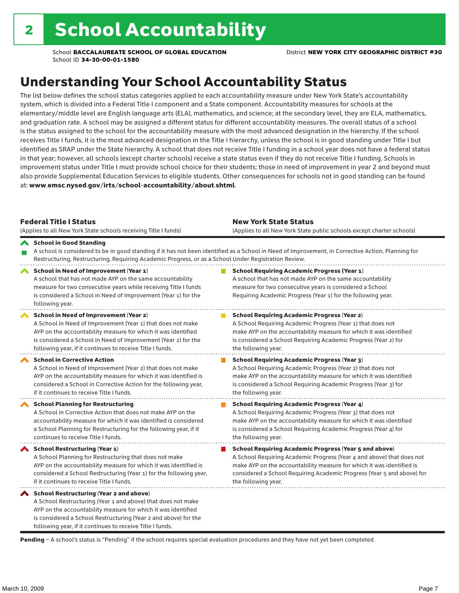## Understanding Your School Accountability Status

The list below defines the school status categories applied to each accountability measure under New York State's accountability system, which is divided into a Federal Title I component and a State component. Accountability measures for schools at the elementary/middle level are English language arts (ELA), mathematics, and science; at the secondary level, they are ELA, mathematics, and graduation rate. A school may be assigned a different status for different accountability measures. The overall status of a school is the status assigned to the school for the accountability measure with the most advanced designation in the hierarchy. If the school receives Title I funds, it is the most advanced designation in the Title I hierarchy, unless the school is in good standing under Title I but identified as SRAP under the State hierarchy. A school that does not receive Title I funding in a school year does not have a federal status in that year; however, all schools (except charter schools) receive a state status even if they do not receive Title I funding. Schools in improvement status under Title I must provide school choice for their students; those in need of improvement in year 2 and beyond must also provide Supplemental Education Services to eligible students. Other consequences for schools not in good standing can be found at: www.emsc.nysed.gov/irts/school-accountability/about.shtml.

| <b>Federal Title I Status</b><br>(Applies to all New York State schools receiving Title I funds)                                                                                                                                                                                                         | <b>New York State Status</b><br>(Applies to all New York State public schools except charter schools)                                                                                                                                                      |                                                                                                                                                                                                                                                                                                                 |  |  |  |  |  |
|----------------------------------------------------------------------------------------------------------------------------------------------------------------------------------------------------------------------------------------------------------------------------------------------------------|------------------------------------------------------------------------------------------------------------------------------------------------------------------------------------------------------------------------------------------------------------|-----------------------------------------------------------------------------------------------------------------------------------------------------------------------------------------------------------------------------------------------------------------------------------------------------------------|--|--|--|--|--|
| School in Good Standing                                                                                                                                                                                                                                                                                  | A school is considered to be in good standing if it has not been identified as a School in Need of Improvement, in Corrective Action, Planning for<br>Restructuring, Restructuring, Requiring Academic Progress, or as a School Under Registration Review. |                                                                                                                                                                                                                                                                                                                 |  |  |  |  |  |
| School in Need of Improvement (Year 1)<br>A school that has not made AYP on the same accountability<br>measure for two consecutive years while receiving Title I funds<br>is considered a School in Need of Improvement (Year 1) for the<br>following year.                                              |                                                                                                                                                                                                                                                            | <b>School Requiring Academic Progress (Year 1)</b><br>A school that has not made AYP on the same accountability<br>measure for two consecutive years is considered a School<br>Requiring Academic Progress (Year 1) for the following year.                                                                     |  |  |  |  |  |
| School in Need of Improvement (Year 2)<br>A School in Need of Improvement (Year 1) that does not make<br>AYP on the accountability measure for which it was identified<br>is considered a School in Need of Improvement (Year 2) for the<br>following year, if it continues to receive Title I funds.    |                                                                                                                                                                                                                                                            | <b>School Requiring Academic Progress (Year 2)</b><br>A School Requiring Academic Progress (Year 1) that does not<br>make AYP on the accountability measure for which it was identified<br>is considered a School Requiring Academic Progress (Year 2) for<br>the following year.                               |  |  |  |  |  |
| <b>School in Corrective Action</b><br>A School in Need of Improvement (Year 2) that does not make<br>AYP on the accountability measure for which it was identified is<br>considered a School in Corrective Action for the following year,<br>if it continues to receive Title I funds.                   |                                                                                                                                                                                                                                                            | <b>School Requiring Academic Progress (Year 3)</b><br>A School Requiring Academic Progress (Year 2) that does not<br>make AYP on the accountability measure for which it was identified<br>is considered a School Requiring Academic Progress (Year 3) for<br>the following year.                               |  |  |  |  |  |
| <b>School Planning for Restructuring</b><br>A School in Corrective Action that does not make AYP on the<br>accountability measure for which it was identified is considered<br>a School Planning for Restructuring for the following year, if it<br>continues to receive Title I funds.                  |                                                                                                                                                                                                                                                            | <b>School Requiring Academic Progress (Year 4)</b><br>A School Requiring Academic Progress (Year 3) that does not<br>make AYP on the accountability measure for which it was identified<br>is considered a School Requiring Academic Progress (Year 4) for<br>the following year.                               |  |  |  |  |  |
| <b>School Restructuring (Year 1)</b><br>A School Planning for Restructuring that does not make<br>AYP on the accountability measure for which it was identified is<br>considered a School Restructuring (Year 1) for the following year,<br>if it continues to receive Title I funds.                    |                                                                                                                                                                                                                                                            | <b>School Requiring Academic Progress (Year 5 and above)</b><br>A School Requiring Academic Progress (Year 4 and above) that does not<br>make AYP on the accountability measure for which it was identified is<br>considered a School Requiring Academic Progress (Year 5 and above) for<br>the following year. |  |  |  |  |  |
| School Restructuring (Year 2 and above)<br>A School Restructuring (Year 1 and above) that does not make<br>AYP on the accountability measure for which it was identified<br>is considered a School Restructuring (Year 2 and above) for the<br>following year, if it continues to receive Title I funds. |                                                                                                                                                                                                                                                            |                                                                                                                                                                                                                                                                                                                 |  |  |  |  |  |

Pending - A school's status is "Pending" if the school requires special evaluation procedures and they have not yet been completed.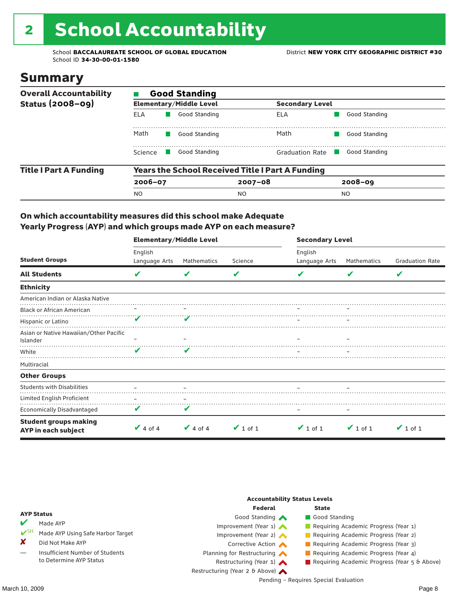# 2 School Accountability

School **BACCALAUREATE SCHOOL OF GLOBAL EDUCATION** District **NEW YORK CITY GEOGRAPHIC DISTRICT #30** School ID **34-30-00-01-1580**

### Summary

| <b>Overall Accountability</b> | <b>Good Standing</b> |                                |                                                         |                |  |  |  |  |
|-------------------------------|----------------------|--------------------------------|---------------------------------------------------------|----------------|--|--|--|--|
| Status $(2008-09)$            |                      | <b>Elementary/Middle Level</b> | <b>Secondary Level</b>                                  |                |  |  |  |  |
|                               | ELA                  | Good Standing                  | ELA                                                     | Good Standing  |  |  |  |  |
|                               | Math                 | Good Standing                  | Math                                                    | Good Standing  |  |  |  |  |
|                               | Science              | Good Standing                  | Graduation Rate                                         | Good Standing  |  |  |  |  |
| <b>Title I Part A Funding</b> |                      |                                | <b>Years the School Received Title I Part A Funding</b> |                |  |  |  |  |
|                               | $2006 - 07$          |                                | $2007 - 08$                                             | $2008 - 09$    |  |  |  |  |
|                               | <b>NO</b>            |                                | NO                                                      | N <sub>O</sub> |  |  |  |  |

### On which accountability measures did this school make Adequate Yearly Progress (AYP) and which groups made AYP on each measure?

|                                                     | <b>Elementary/Middle Level</b> |               |               | <b>Secondary Level</b> |               |                        |  |
|-----------------------------------------------------|--------------------------------|---------------|---------------|------------------------|---------------|------------------------|--|
|                                                     | English                        |               |               | English                |               |                        |  |
| <b>Student Groups</b>                               | Language Arts                  | Mathematics   | Science       | Language Arts          | Mathematics   | <b>Graduation Rate</b> |  |
| <b>All Students</b>                                 | V                              | V             | V             |                        | V             | V                      |  |
| <b>Ethnicity</b>                                    |                                |               |               |                        |               |                        |  |
| American Indian or Alaska Native                    |                                |               |               |                        |               |                        |  |
| <b>Black or African American</b>                    |                                |               |               |                        |               |                        |  |
| Hispanic or Latino                                  |                                |               |               |                        |               |                        |  |
| Asian or Native Hawaiian/Other Pacific              |                                |               |               |                        |               |                        |  |
| Islander                                            |                                |               |               |                        |               |                        |  |
| White                                               | $\overline{\mathbf{v}}$        | V             |               |                        |               |                        |  |
| Multiracial                                         |                                |               |               |                        |               |                        |  |
| <b>Other Groups</b>                                 |                                |               |               |                        |               |                        |  |
| <b>Students with Disabilities</b>                   |                                |               |               |                        |               |                        |  |
| Limited English Proficient                          | $\qquad \qquad -$              | -             |               |                        |               |                        |  |
| <b>Economically Disadvantaged</b>                   | V                              | V             |               |                        |               |                        |  |
| <b>Student groups making</b><br>AYP in each subject | $\vee$ 4 of 4                  | $\vee$ 4 of 4 | $\vee$ 1 of 1 | $\vee$ 1 of 1          | $\vee$ 1 of 1 | $\vee$ 1 of 1          |  |

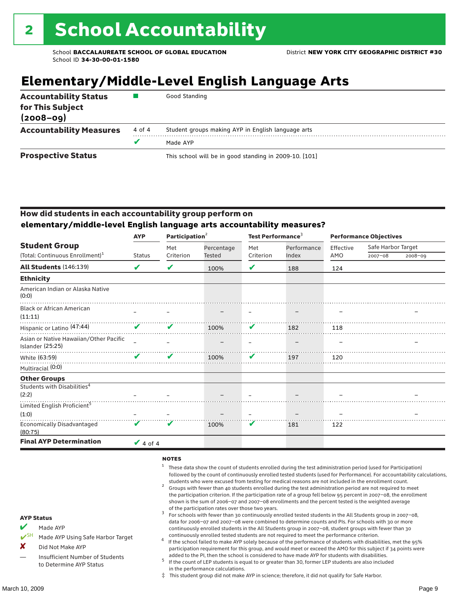## **Elementary/Middle-Level English Language Arts**

| <b>Accountability Status</b><br>for This Subject<br>$(2008 - 09)$ |        | Good Standing                                          |  |  |  |
|-------------------------------------------------------------------|--------|--------------------------------------------------------|--|--|--|
| <b>Accountability Measures</b>                                    | 4 of 4 | Student groups making AYP in English language arts     |  |  |  |
|                                                                   |        | Made AYP                                               |  |  |  |
| <b>Prospective Status</b>                                         |        | This school will be in good standing in 2009-10. [101] |  |  |  |

### How did students in each accountability group perform on **elementary/middle-level English language arts accountability measures?**

|                                                            | <b>AYP</b>                 | Participation <sup>2</sup> |            | Test Performance <sup>3</sup> |             | <b>Performance Objectives</b> |                    |         |
|------------------------------------------------------------|----------------------------|----------------------------|------------|-------------------------------|-------------|-------------------------------|--------------------|---------|
| <b>Student Group</b>                                       |                            | Met                        | Percentage | Met                           | Performance | Effective                     | Safe Harbor Target |         |
| (Total: Continuous Enrollment) <sup>1</sup>                | <b>Status</b>              | Criterion                  | Tested     | Criterion                     | Index       | AMO                           | $2007 - 08$        | 2008-09 |
| <b>All Students (146:139)</b>                              | $\boldsymbol{\mathcal{U}}$ | ✔                          | 100%       | ✔                             | 188         | 124                           |                    |         |
| <b>Ethnicity</b>                                           |                            |                            |            |                               |             |                               |                    |         |
| American Indian or Alaska Native<br>(0:0)                  |                            |                            |            |                               |             |                               |                    |         |
| <b>Black or African American</b><br>(11:11)                |                            |                            |            |                               |             |                               |                    |         |
| Hispanic or Latino (47:44)                                 | V                          | V                          | 100%       | V                             | 182         | 118                           |                    |         |
| Asian or Native Hawaiian/Other Pacific<br>Islander (25:25) |                            |                            |            |                               |             |                               |                    |         |
| White (63:59)                                              | $\boldsymbol{\mathcal{L}}$ | ✔                          | 100%       | V                             | 197         | 120                           |                    |         |
| Multiracial (0:0)                                          |                            |                            |            |                               |             |                               |                    |         |
| <b>Other Groups</b>                                        |                            |                            |            |                               |             |                               |                    |         |
| Students with Disabilities <sup>4</sup>                    |                            |                            |            |                               |             |                               |                    |         |
| (2:2)                                                      |                            |                            |            |                               |             |                               |                    |         |
| Limited English Proficient <sup>5</sup>                    |                            |                            |            |                               |             |                               |                    |         |
| (1:0)                                                      |                            |                            |            |                               |             |                               |                    |         |
| <b>Economically Disadvantaged</b><br>(80:75)               | V                          |                            | 100%       | V                             | 181         | 122                           |                    |         |
| <b>Final AYP Determination</b>                             | $\vee$ 4 of 4              |                            |            |                               |             |                               |                    |         |

#### **NOTES**

- <sup>1</sup> These data show the count of students enrolled during the test administration period (used for Participation) followed by the count of continuously enrolled tested students (used for Performance). For accountability calculations,
- students who were excused from testing for medical reasons are not included in the enrollment count. <sup>2</sup> Groups with fewer than 40 students enrolled during the test administration period are not required to meet the participation criterion. If the participation rate of a group fell below 95 percent in 2007–08, the enrollment shown is the sum of 2006–07 and 2007–08 enrollments and the percent tested is the weighted average
- of the participation rates over those two years.<br><sup>3</sup> For schools with fewer than 30 continuously enrolled tested students in the All Students group in 2007–08, data for 2006–07 and 2007–08 were combined to determine counts and PIs. For schools with 30 or more continuously enrolled students in the All Students group in 2007–08, student groups with fewer than 30
- continuously enrolled tested students are not required to meet the performance criterion. <sup>4</sup> If the school failed to make AYP solely because of the performance of students with disabilities, met the 95% participation requirement for this group, and would meet or exceed the AMO for this subject if 34 points were added to the PI, then the school is considered to have made AYP for students with disabilities.
- $5$  If the count of LEP students is equal to or greater than 30, former LEP students are also included in the performance calculations.
- ‡ This student group did not make AYP in science; therefore, it did not qualify for Safe Harbor.
- $M$  Made AYP
	- Made AYP Using Safe Harbor Target
- X Did Not Make AYP
- Insufficient Number of Students to Determine AYP Status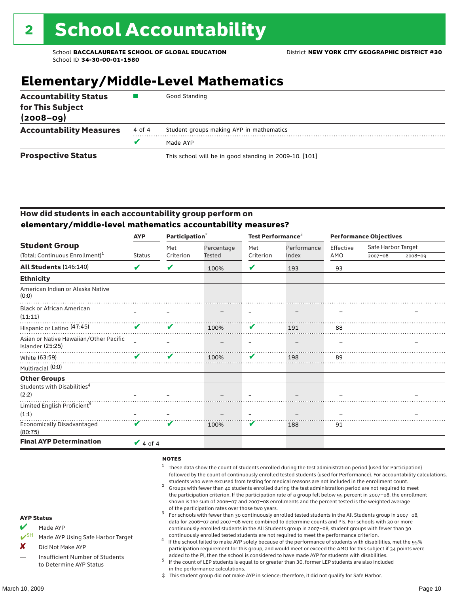## **Elementary/Middle-Level Mathematics**

| <b>Accountability Status</b><br>for This Subject<br>$(2008 - 09)$ |        | Good Standing                                          |
|-------------------------------------------------------------------|--------|--------------------------------------------------------|
| <b>Accountability Measures</b>                                    | 4 of 4 | Student groups making AYP in mathematics               |
|                                                                   |        | Made AYP                                               |
| <b>Prospective Status</b>                                         |        | This school will be in good standing in 2009-10. [101] |

### How did students in each accountability group perform on **elementary/middle-level mathematics accountability measures?**

|                                                            | <b>AYP</b>                 | Participation <sup>2</sup> |               | Test Performance <sup>3</sup> |                      | <b>Performance Objectives</b> |                    |             |
|------------------------------------------------------------|----------------------------|----------------------------|---------------|-------------------------------|----------------------|-------------------------------|--------------------|-------------|
| <b>Student Group</b>                                       |                            | Met                        | Percentage    | Met                           | Performance<br>Index | Effective                     | Safe Harbor Target |             |
| (Total: Continuous Enrollment) <sup>1</sup>                | <b>Status</b>              | Criterion                  | <b>Tested</b> | Criterion                     |                      | AMO                           | $2007 - 08$        | $2008 - 09$ |
| <b>All Students (146:140)</b>                              | $\boldsymbol{\mathcal{U}}$ | ✔                          | 100%          | ✔                             | 193                  | 93                            |                    |             |
| <b>Ethnicity</b>                                           |                            |                            |               |                               |                      |                               |                    |             |
| American Indian or Alaska Native<br>(0:0)                  |                            |                            |               |                               |                      |                               |                    |             |
| <b>Black or African American</b><br>(11:11)                |                            |                            |               |                               |                      |                               |                    |             |
| Hispanic or Latino <sup>(47:45)</sup>                      | $\boldsymbol{\mathcal{U}}$ | ✔                          | 100%          | V                             | 191                  | 88                            |                    |             |
| Asian or Native Hawaiian/Other Pacific<br>Islander (25:25) |                            |                            |               |                               |                      |                               |                    |             |
| White (63:59)                                              | ✔                          | ✔                          | 100%          | V                             | 198                  | 89                            |                    |             |
| Multiracial (0:0)                                          |                            |                            |               |                               |                      |                               |                    |             |
| <b>Other Groups</b>                                        |                            |                            |               |                               |                      |                               |                    |             |
| Students with Disabilities <sup>4</sup><br>(2:2)           |                            |                            |               |                               |                      |                               |                    |             |
| Limited English Proficient <sup>5</sup>                    |                            |                            |               |                               |                      |                               |                    |             |
| (1:1)                                                      |                            |                            |               |                               |                      |                               |                    |             |
| <b>Economically Disadvantaged</b><br>(80:75)               | V                          | V                          | 100%          | V                             | 188                  | 91                            |                    |             |
| <b>Final AYP Determination</b>                             | $\vee$ 4 of 4              |                            |               |                               |                      |                               |                    |             |

#### **NOTES**

- <sup>1</sup> These data show the count of students enrolled during the test administration period (used for Participation) followed by the count of continuously enrolled tested students (used for Performance). For accountability calculations,
- students who were excused from testing for medical reasons are not included in the enrollment count. <sup>2</sup> Groups with fewer than 40 students enrolled during the test administration period are not required to meet the participation criterion. If the participation rate of a group fell below 95 percent in 2007–08, the enrollment shown is the sum of 2006–07 and 2007–08 enrollments and the percent tested is the weighted average
- of the participation rates over those two years.<br><sup>3</sup> For schools with fewer than 30 continuously enrolled tested students in the All Students group in 2007–08, data for 2006–07 and 2007–08 were combined to determine counts and PIs. For schools with 30 or more continuously enrolled students in the All Students group in 2007–08, student groups with fewer than 30
- continuously enrolled tested students are not required to meet the performance criterion. <sup>4</sup> If the school failed to make AYP solely because of the performance of students with disabilities, met the 95% participation requirement for this group, and would meet or exceed the AMO for this subject if 34 points were added to the PI, then the school is considered to have made AYP for students with disabilities.
- $5$  If the count of LEP students is equal to or greater than 30, former LEP students are also included in the performance calculations.
- ‡ This student group did not make AYP in science; therefore, it did not qualify for Safe Harbor.
- $M$  Made AYP
	- Made AYP Using Safe Harbor Target
- X Did Not Make AYP
- Insufficient Number of Students to Determine AYP Status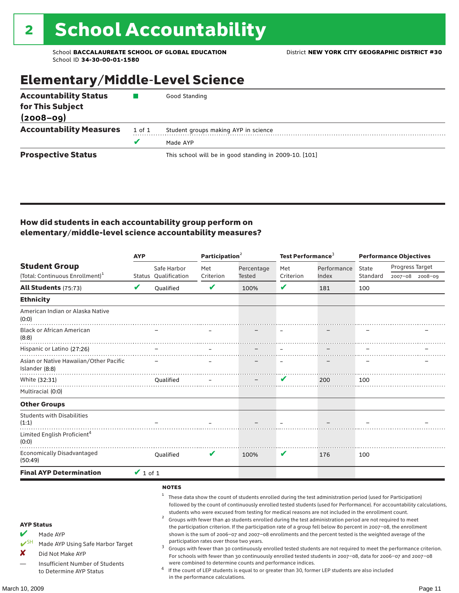## Elementary/Middle-Level Science

| <b>Accountability Status</b><br>for This Subject<br>$(2008 - 09)$ |        | Good Standing                                          |
|-------------------------------------------------------------------|--------|--------------------------------------------------------|
| <b>Accountability Measures</b>                                    | 1 of 1 | Student groups making AYP in science                   |
|                                                                   |        | Made AYP                                               |
| <b>Prospective Status</b>                                         |        | This school will be in good standing in 2009-10. [101] |

### How did students in each accountability group perform on elementary/middle-level science accountability measures?

|                                                                                                                                                                            | <b>AYP</b>    |                                                              | Participation <sup>2</sup>                                                    |                                                            | Test Performance $^3$ |                                                                                                                                                                                                                                                                                                                                                                                                                                                                                                                                                                                                                                                                              | <b>Performance Objectives</b> |                                                                                                                                                                                                                                                                                                                                                                 |
|----------------------------------------------------------------------------------------------------------------------------------------------------------------------------|---------------|--------------------------------------------------------------|-------------------------------------------------------------------------------|------------------------------------------------------------|-----------------------|------------------------------------------------------------------------------------------------------------------------------------------------------------------------------------------------------------------------------------------------------------------------------------------------------------------------------------------------------------------------------------------------------------------------------------------------------------------------------------------------------------------------------------------------------------------------------------------------------------------------------------------------------------------------------|-------------------------------|-----------------------------------------------------------------------------------------------------------------------------------------------------------------------------------------------------------------------------------------------------------------------------------------------------------------------------------------------------------------|
| <b>Student Group</b><br>(Total: Continuous Enrollment) <sup>1</sup>                                                                                                        |               | Safe Harbor<br><b>Status Oualification</b>                   | Met<br>Criterion                                                              | Percentage<br>Tested                                       | Met<br>Criterion      | Performance<br>Index                                                                                                                                                                                                                                                                                                                                                                                                                                                                                                                                                                                                                                                         | State<br>Standard             | Progress Target<br>2007-08 2008-09                                                                                                                                                                                                                                                                                                                              |
| <b>All Students (75:73)</b>                                                                                                                                                | V             | Oualified                                                    | $\checkmark$                                                                  | 100%                                                       | V                     | 181                                                                                                                                                                                                                                                                                                                                                                                                                                                                                                                                                                                                                                                                          | 100                           |                                                                                                                                                                                                                                                                                                                                                                 |
| <b>Ethnicity</b>                                                                                                                                                           |               |                                                              |                                                                               |                                                            |                       |                                                                                                                                                                                                                                                                                                                                                                                                                                                                                                                                                                                                                                                                              |                               |                                                                                                                                                                                                                                                                                                                                                                 |
| American Indian or Alaska Native<br>(0:0)                                                                                                                                  |               |                                                              |                                                                               |                                                            |                       |                                                                                                                                                                                                                                                                                                                                                                                                                                                                                                                                                                                                                                                                              |                               |                                                                                                                                                                                                                                                                                                                                                                 |
| <b>Black or African American</b><br>(8:8)                                                                                                                                  |               |                                                              |                                                                               |                                                            |                       |                                                                                                                                                                                                                                                                                                                                                                                                                                                                                                                                                                                                                                                                              |                               |                                                                                                                                                                                                                                                                                                                                                                 |
| Hispanic or Latino (27:26)                                                                                                                                                 |               |                                                              |                                                                               |                                                            |                       |                                                                                                                                                                                                                                                                                                                                                                                                                                                                                                                                                                                                                                                                              |                               |                                                                                                                                                                                                                                                                                                                                                                 |
| Asian or Native Hawaiian/Other Pacific<br>Islander (8:8)                                                                                                                   |               |                                                              |                                                                               |                                                            |                       |                                                                                                                                                                                                                                                                                                                                                                                                                                                                                                                                                                                                                                                                              |                               |                                                                                                                                                                                                                                                                                                                                                                 |
| White (32:31)                                                                                                                                                              |               | Oualified                                                    |                                                                               |                                                            | ✔                     | 200                                                                                                                                                                                                                                                                                                                                                                                                                                                                                                                                                                                                                                                                          | 100                           |                                                                                                                                                                                                                                                                                                                                                                 |
| Multiracial (0:0)                                                                                                                                                          |               |                                                              |                                                                               |                                                            |                       |                                                                                                                                                                                                                                                                                                                                                                                                                                                                                                                                                                                                                                                                              |                               |                                                                                                                                                                                                                                                                                                                                                                 |
| <b>Other Groups</b>                                                                                                                                                        |               |                                                              |                                                                               |                                                            |                       |                                                                                                                                                                                                                                                                                                                                                                                                                                                                                                                                                                                                                                                                              |                               |                                                                                                                                                                                                                                                                                                                                                                 |
| <b>Students with Disabilities</b><br>(1:1)                                                                                                                                 |               |                                                              |                                                                               |                                                            |                       |                                                                                                                                                                                                                                                                                                                                                                                                                                                                                                                                                                                                                                                                              |                               |                                                                                                                                                                                                                                                                                                                                                                 |
| Limited English Proficient <sup>4</sup><br>(0:0)                                                                                                                           |               |                                                              |                                                                               |                                                            |                       |                                                                                                                                                                                                                                                                                                                                                                                                                                                                                                                                                                                                                                                                              |                               |                                                                                                                                                                                                                                                                                                                                                                 |
| <b>Economically Disadvantaged</b><br>(50:49)                                                                                                                               |               | Qualified                                                    | V                                                                             | 100%                                                       | V                     | 176                                                                                                                                                                                                                                                                                                                                                                                                                                                                                                                                                                                                                                                                          | 100                           |                                                                                                                                                                                                                                                                                                                                                                 |
| <b>Final AYP Determination</b>                                                                                                                                             | $\vee$ 1 of 1 |                                                              |                                                                               |                                                            |                       |                                                                                                                                                                                                                                                                                                                                                                                                                                                                                                                                                                                                                                                                              |                               |                                                                                                                                                                                                                                                                                                                                                                 |
| <b>AYP Status</b><br>V<br>Made AYP<br>$V^{SH}$<br>Made AYP Using Safe Harbor Target<br>×<br>Did Not Make AYP<br>Insufficient Number of Students<br>to Determine AYP Status |               | <b>NOTES</b><br>$\mathbf{1}$<br>$\overline{\mathbf{c}}$<br>3 | participation rates over those two years.<br>in the performance calculations. | were combined to determine counts and performance indices. |                       | These data show the count of students enrolled during the test administration period (used for Participation)<br>students who were excused from testing for medical reasons are not included in the enrollment count.<br>Groups with fewer than 40 students enrolled during the test administration period are not required to meet<br>the participation criterion. If the participation rate of a group fell below 80 percent in 2007-08, the enrollment<br>shown is the sum of 2006-07 and 2007-08 enrollments and the percent tested is the weighted average of the<br>If the count of LEP students is equal to or greater than 30, former LEP students are also included |                               | followed by the count of continuously enrolled tested students (used for Performance). For accountability calculations,<br>Groups with fewer than 30 continuously enrolled tested students are not required to meet the performance criterion.<br>For schools with fewer than 30 continuously enrolled tested students in 2007-08, data for 2006-07 and 2007-08 |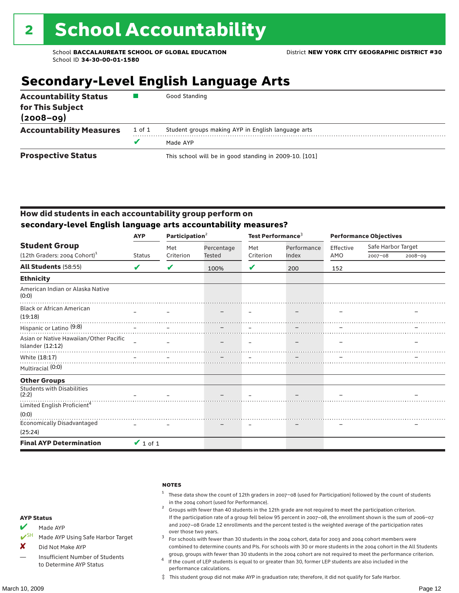## **Secondary-Level English Language Arts**

| <b>Accountability Status</b><br>for This Subject<br>$(2008 - 09)$ |        | Good Standing                                          |
|-------------------------------------------------------------------|--------|--------------------------------------------------------|
| <b>Accountability Measures</b>                                    | 1 of 1 | Student groups making AYP in English language arts     |
|                                                                   |        | Made AYP                                               |
| <b>Prospective Status</b>                                         |        | This school will be in good standing in 2009-10. [101] |

### How did students in each accountability group perform on **secondary-level English language arts accountability measures?**

|                                                                  | <b>AYP</b>    | Participation $2$ |                      | Test Performance <sup>3</sup> |             | <b>Performance Objectives</b> |                    |             |
|------------------------------------------------------------------|---------------|-------------------|----------------------|-------------------------------|-------------|-------------------------------|--------------------|-------------|
| <b>Student Group</b>                                             |               | Met               | Percentage<br>Tested | Met                           | Performance | Effective                     | Safe Harbor Target |             |
| (12th Graders: 2004 Cohort) <sup>1</sup>                         | <b>Status</b> | Criterion         |                      | Criterion                     | Index       | AMO                           | $2007 - 08$        | $2008 - 09$ |
| All Students (58:55)                                             | V             | V                 | 100%                 | V                             | 200         | 152                           |                    |             |
| <b>Ethnicity</b>                                                 |               |                   |                      |                               |             |                               |                    |             |
| American Indian or Alaska Native<br>(0:0)                        |               |                   |                      |                               |             |                               |                    |             |
| <b>Black or African American</b><br>(19:18)                      |               |                   |                      |                               |             |                               |                    |             |
| 1.3.1.0/<br>Hispanic or Latino (9:8)<br>Hispanic or Latino (9:8) |               |                   |                      |                               |             |                               |                    |             |
| Asian or Native Hawaiian/Other Pacific<br>Islander (12:12)       |               |                   |                      |                               |             |                               |                    |             |
| White (18:17)                                                    |               |                   |                      |                               |             |                               |                    |             |
| Multiracial (0:0)                                                |               |                   |                      |                               |             |                               |                    |             |
| <b>Other Groups</b>                                              |               |                   |                      |                               |             |                               |                    |             |
| <b>Students with Disabilities</b><br>(2:2)                       |               |                   |                      |                               |             |                               |                    |             |
| Limited English Proficient <sup>4</sup>                          |               |                   |                      |                               |             |                               |                    |             |
| (0:0)                                                            |               |                   |                      |                               |             |                               |                    |             |
| <b>Economically Disadvantaged</b>                                |               |                   |                      |                               |             |                               |                    |             |
| (25:24)                                                          |               |                   |                      |                               |             |                               |                    |             |
| <b>Final AYP Determination</b>                                   | $\vee$ 1 of 1 |                   |                      |                               |             |                               |                    |             |

|                                 | <b>NOTES</b>                                                                                 |
|---------------------------------|----------------------------------------------------------------------------------------------|
|                                 | <sup>1</sup> These data show the count of 12th gra<br>in the 2004 cohort (used for Performar |
|                                 | Groups with fewer than 40 students in                                                        |
| <b>AYP Status</b>               | If the participation rate of a group fell                                                    |
| $\mathcal{L}$ and $\mathcal{L}$ | and 2007-08 Grade 12 enrollments are                                                         |



✔SH Made AYP Using Safe Harbor Target

X Did Not Make AYP

- Insufficient Number of Students to Determine AYP Status
- 1 ders in 2007–08 (used for Participation) followed by the count of students nce).<br>1 the 12th grade are not required to meet the participation criterion.
- below 95 percent in 2007–08, the enrollment shown is the sum of 2006–07 ad the percent tested is the weighted average of the participation rates over those two years.  $3$  For schools with fewer than 30 students in the 2004 cohort, data for 2003 and 2004 cohort members were
- combined to determine counts and PIs. For schools with 30 or more students in the 2004 cohort in the All Students
- group, groups with fewer than 30 students in the 2004 cohort are not required to meet the performance criterion. <sup>4</sup> If the count of LEP students is equal to or greater than 30, former LEP students are also included in the performance calculations.
- ‡ This student group did not make AYP in graduation rate; therefore, it did not qualify for Safe Harbor.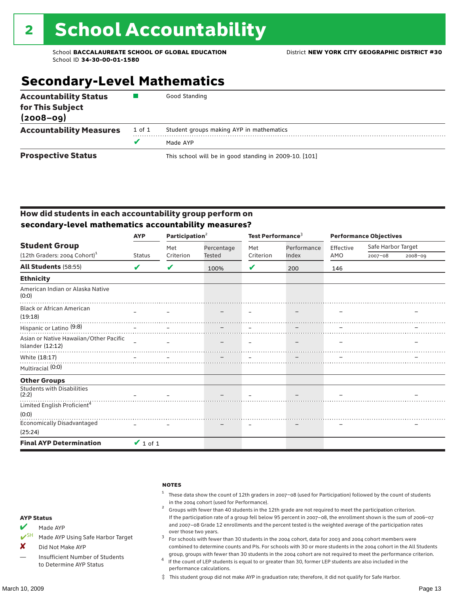## **Secondary-Level Mathematics**

| <b>Accountability Status</b><br>for This Subject<br>$(2008 - 09)$ |        | Good Standing                                          |
|-------------------------------------------------------------------|--------|--------------------------------------------------------|
| <b>Accountability Measures</b>                                    | 1 of 1 | Student groups making AYP in mathematics               |
|                                                                   |        | Made AYP                                               |
| <b>Prospective Status</b>                                         |        | This school will be in good standing in 2009-10. [101] |

### How did students in each accountability group perform on **secondary-level mathematics accountability measures?**

|                                                                  | <b>AYP</b>    | Participation $2$ |            | Test Performance <sup>3</sup> |             | <b>Performance Objectives</b> |                    |             |
|------------------------------------------------------------------|---------------|-------------------|------------|-------------------------------|-------------|-------------------------------|--------------------|-------------|
| <b>Student Group</b>                                             |               | Met               | Percentage | Met                           | Performance | Effective                     | Safe Harbor Target |             |
| $(12th$ Graders: 2004 Cohort) <sup>1</sup>                       | <b>Status</b> | Criterion         | Tested     | Criterion                     | Index       | AMO                           | $2007 - 08$        | $2008 - 09$ |
| <b>All Students (58:55)</b>                                      | ✔             | V                 | 100%       | V                             | 200         | 146                           |                    |             |
| <b>Ethnicity</b>                                                 |               |                   |            |                               |             |                               |                    |             |
| American Indian or Alaska Native<br>(0:0)                        |               |                   |            |                               |             |                               |                    |             |
| <b>Black or African American</b><br>(19:18)                      |               |                   |            |                               |             |                               |                    |             |
| 1.3.1.0/<br>Hispanic or Latino (9:8)<br>Hispanic or Latino (9:8) |               |                   |            |                               |             |                               |                    |             |
| Asian or Native Hawaiian/Other Pacific<br>Islander (12:12)       |               |                   |            |                               |             |                               |                    |             |
| White (18:17)                                                    |               |                   |            |                               |             |                               |                    |             |
| Multiracial (0:0)                                                |               |                   |            |                               |             |                               |                    |             |
| <b>Other Groups</b>                                              |               |                   |            |                               |             |                               |                    |             |
| <b>Students with Disabilities</b><br>(2:2)                       |               |                   |            |                               |             |                               |                    |             |
| Limited English Proficient <sup>4</sup>                          |               |                   |            |                               |             |                               |                    |             |
| (0:0)<br><b>Economically Disadvantaged</b>                       |               |                   |            |                               |             |                               |                    |             |
| (25:24)                                                          |               |                   |            |                               |             |                               |                    |             |
| <b>Final AYP Determination</b>                                   | $\vee$ 1 of 1 |                   |            |                               |             |                               |                    |             |

|                                                    | <b>NOTES</b>                                                                                                      |
|----------------------------------------------------|-------------------------------------------------------------------------------------------------------------------|
|                                                    | These data show the count of 12th graders in 2007-08 (used for Participation) followed by the count of students   |
|                                                    | in the 2004 cohort (used for Performance).                                                                        |
|                                                    | Groups with fewer than 40 students in the 12th grade are not required to meet the participation criterion.        |
| <b>AYP Status</b>                                  | If the participation rate of a group fell below 95 percent in 2007–08, the enrollment shown is the sum of 2006–07 |
| $\overline{\mathbf{v}}$<br>$M \cap A \cap \Lambda$ | and 2007-08 Grade 12 enrollments and the percent tested is the weighted average of the participation rates        |



✔SH Made AYP Using Safe Harbor Target

X Did Not Make AYP

Insufficient Number of Students to Determine AYP Status

### over those two years.  $3$  For schools with fewer than 30 students in the 2004 cohort, data for 2003 and 2004 cohort members were combined to determine counts and PIs. For schools with 30 or more students in the 2004 cohort in the All Students

group, groups with fewer than 30 students in the 2004 cohort are not required to meet the performance criterion. <sup>4</sup> If the count of LEP students is equal to or greater than 30, former LEP students are also included in the performance calculations.

‡ This student group did not make AYP in graduation rate; therefore, it did not qualify for Safe Harbor.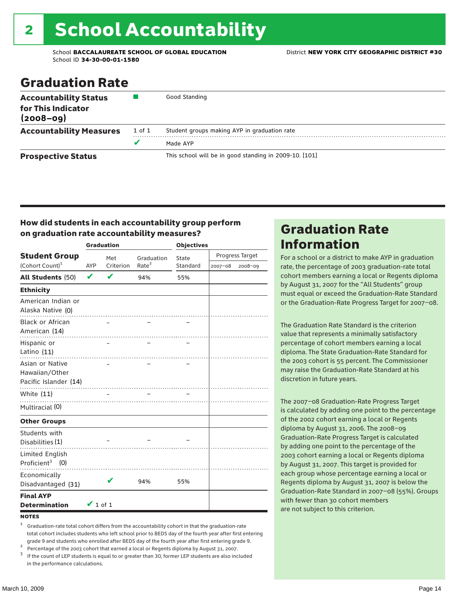# 2 School Accountability

School **BACCALAUREATE SCHOOL OF GLOBAL EDUCATION** District **NEW YORK CITY GEOGRAPHIC DISTRICT #30** School ID **34-30-00-01-1580**

## Graduation Rate

| <b>Accountability Status</b><br>for This Indicator<br>$(2008 - 09)$ |        | Good Standing                                          |
|---------------------------------------------------------------------|--------|--------------------------------------------------------|
| <b>Accountability Measures</b>                                      | 1 of 1 | Student groups making AYP in graduation rate           |
|                                                                     | v      | Made AYP                                               |
| <b>Prospective Status</b>                                           |        | This school will be in good standing in 2009-10. [101] |

### How did students in each accountability group perform on graduation rate accountability measures?

|                                                            |               | <b>Graduation</b> |                   | <b>Objectives</b> |         |                 |  |
|------------------------------------------------------------|---------------|-------------------|-------------------|-------------------|---------|-----------------|--|
| <b>Student Group</b>                                       |               | Met               | Graduation        | State             |         | Progress Target |  |
| (Cohort Count) <sup>1</sup>                                | <b>AYP</b>    | Criterion         | Rate <sup>2</sup> | Standard          | 2007-08 | 2008-09         |  |
| All Students (50)                                          | $\checkmark$  | V                 | 94%               | 55%               |         |                 |  |
| <b>Ethnicity</b>                                           |               |                   |                   |                   |         |                 |  |
| American Indian or<br>Alaska Native (0)                    |               |                   |                   |                   |         |                 |  |
| <b>Black or African</b><br>American (14)                   |               |                   |                   |                   |         |                 |  |
| Hispanic or<br>Latino (11)                                 |               |                   |                   |                   |         |                 |  |
| Asian or Native<br>Hawaiian/Other<br>Pacific Islander (14) |               |                   |                   |                   |         |                 |  |
| White (11)                                                 |               |                   |                   |                   |         |                 |  |
| Multiracial (0)                                            |               |                   |                   |                   |         |                 |  |
| <b>Other Groups</b>                                        |               |                   |                   |                   |         |                 |  |
| Students with<br>Disabilities (1)                          |               |                   |                   |                   |         |                 |  |
| Limited English<br>Proficient <sup>3</sup> $(0)$           |               |                   |                   |                   |         |                 |  |
| Economically<br>Disadvantaged (31)                         |               | V                 | 94%               | 55%               |         |                 |  |
| <b>Final AYP</b><br><b>Determination</b>                   | $\vee$ 1 of 1 |                   |                   |                   |         |                 |  |

#### **NOTES**

<sup>1</sup> Graduation-rate total cohort differs from the accountability cohort in that the graduation-rate total cohort includes students who left school prior to BEDS day of the fourth year after first entering

grade 9 and students who enrolled after BEDS day of the fourth year after first entering grade 9.<br>
<sup>2</sup> Percentage of the 2003 cohort that earned a local or Regents diploma by August 31, 2007.<br>
<sup>3</sup> If the count of LEP stud in the performance calculations.

### Graduation Rate Information

For a school or a district to make AYP in graduation rate, the percentage of 2003 graduation-rate total cohort members earning a local or Regents diploma by August 31, 2007 for the "All Students" group must equal or exceed the Graduation-Rate Standard or the Graduation-Rate Progress Target for 2007–08.

The Graduation Rate Standard is the criterion value that represents a minimally satisfactory percentage of cohort members earning a local diploma. The State Graduation-Rate Standard for the 2003 cohort is 55 percent. The Commissioner may raise the Graduation-Rate Standard at his discretion in future years.

The 2007–08 Graduation-Rate Progress Target is calculated by adding one point to the percentage of the 2002 cohort earning a local or Regents diploma by August 31, 2006. The 2008–09 Graduation-Rate Progress Target is calculated by adding one point to the percentage of the 2003 cohort earning a local or Regents diploma by August 31, 2007. This target is provided for each group whose percentage earning a local or Regents diploma by August 31, 2007 is below the Graduation-Rate Standard in 2007–08 (55%). Groups with fewer than 30 cohort members are not subject to this criterion.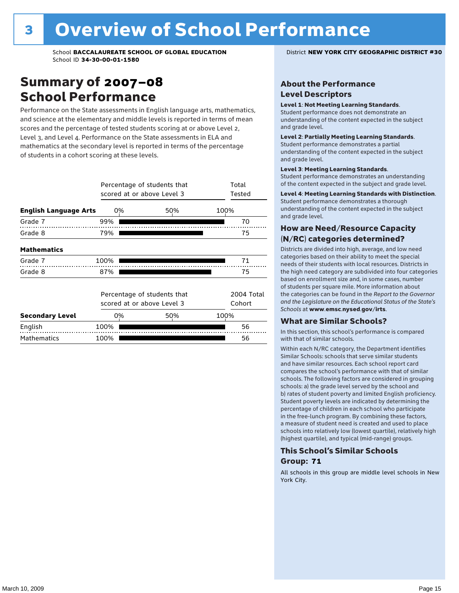### Summary of 2007–08 School Performance

Performance on the State assessments in English language arts, mathematics, and science at the elementary and middle levels is reported in terms of mean scores and the percentage of tested students scoring at or above Level 2, Level 3, and Level 4. Performance on the State assessments in ELA and mathematics at the secondary level is reported in terms of the percentage of students in a cohort scoring at these levels.

|                              |      | Percentage of students that<br>scored at or above Level 3 |      | Total<br>Tested      |
|------------------------------|------|-----------------------------------------------------------|------|----------------------|
| <b>English Language Arts</b> | 0%   | 50%                                                       | 100% |                      |
| Grade 7                      | 99%  |                                                           |      | 70                   |
| Grade 8                      | 79%  |                                                           |      | 75                   |
| <b>Mathematics</b>           |      |                                                           |      |                      |
| Grade 7                      | 100% |                                                           |      | 71                   |
| Grade 8                      | 87%  |                                                           |      | 75                   |
|                              |      | Percentage of students that<br>scored at or above Level 3 |      | 2004 Total<br>Cohort |
| <b>Secondary Level</b>       | 0%   | 50%                                                       | 100% |                      |
| English                      | 100% |                                                           |      | 56                   |
| <b>Mathematics</b>           | 100% |                                                           |      | 56                   |

### About the Performance Level Descriptors

#### Level 1: Not Meeting Learning Standards.

Student performance does not demonstrate an understanding of the content expected in the subject and grade level.

#### Level 2: Partially Meeting Learning Standards.

Student performance demonstrates a partial understanding of the content expected in the subject and grade level.

#### Level 3: Meeting Learning Standards.

Student performance demonstrates an understanding of the content expected in the subject and grade level.

#### Level 4: Meeting Learning Standards with Distinction.

Student performance demonstrates a thorough understanding of the content expected in the subject and grade level.

### How are Need/Resource Capacity (N/RC) categories determined?

Districts are divided into high, average, and low need categories based on their ability to meet the special needs of their students with local resources. Districts in the high need category are subdivided into four categories based on enrollment size and, in some cases, number of students per square mile. More information about the categories can be found in the *Report to the Governor and the Legislature on the Educational Status of the State's Schools* at www.emsc.nysed.gov/irts.

#### What are Similar Schools?

In this section, this school's performance is compared with that of similar schools.

Within each N/RC category, the Department identifies Similar Schools: schools that serve similar students and have similar resources. Each school report card compares the school's performance with that of similar schools. The following factors are considered in grouping schools: a) the grade level served by the school and b) rates of student poverty and limited English proficiency. Student poverty levels are indicated by determining the percentage of children in each school who participate in the free-lunch program. By combining these factors, a measure of student need is created and used to place schools into relatively low (lowest quartile), relatively high (highest quartile), and typical (mid-range) groups.

### This School's Similar Schools Group: **71**

All schools in this group are middle level schools in New York City.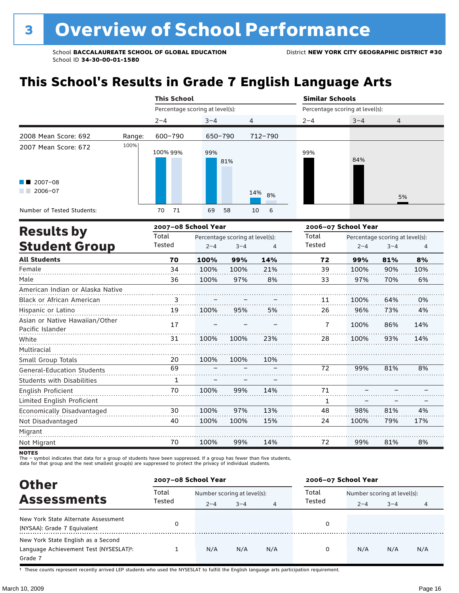## **This School's Results in Grade 7 English Language Arts**

|                                       |        | <b>This School</b>  |                                 |           | <b>Similar Schools</b> |                                 |                                 |
|---------------------------------------|--------|---------------------|---------------------------------|-----------|------------------------|---------------------------------|---------------------------------|
|                                       |        |                     | Percentage scoring at level(s): |           |                        | Percentage scoring at level(s): |                                 |
|                                       |        | $2 - 4$             | $3 - 4$                         | 4         | $2 - 4$                | $3 - 4$                         | 4                               |
| 2008 Mean Score: 692                  | Range: | 600-790             | 650-790                         | 712-790   |                        |                                 |                                 |
| 2007 Mean Score: 672                  | 100%   | 100% 99%            | 99%<br>81%                      |           | 99%                    | 84%                             |                                 |
| $\blacksquare$ 2007-08<br>$2006 - 07$ |        |                     |                                 | 14%<br>8% |                        |                                 | 5%                              |
| Number of Tested Students:            |        | 71<br>70            | 69<br>58                        | 6<br>10   |                        |                                 |                                 |
|                                       |        | 2007-08 School Year |                                 |           |                        | 2006-07 School Year             |                                 |
| <b>Results by</b>                     |        | Total               | Percentage scoring at level(s): |           | Total                  |                                 | Percentage scoring at level(s): |

|                                                    | τοται  |         | Percentage scoring at level(s): |     | τοται         |         | Percentage scoring at level(s): |     |
|----------------------------------------------------|--------|---------|---------------------------------|-----|---------------|---------|---------------------------------|-----|
| <b>Student Group</b>                               | Tested | $2 - 4$ | $3 - 4$                         | 4   | <b>Tested</b> | $2 - 4$ | $3 - 4$                         | 4   |
| <b>All Students</b>                                | 70     | 100%    | 99%                             | 14% | 72            | 99%     | 81%                             | 8%  |
| Female                                             | 34     | 100%    | 100%                            | 21% | 39            | 100%    | 90%                             | 10% |
| Male                                               | 36     | 100%    | 97%                             | 8%  | 33            | 97%     | 70%                             | 6%  |
| American Indian or Alaska Native                   |        |         |                                 |     |               |         |                                 |     |
| Black or African American                          | 3      |         |                                 |     | 11            | 100%    | 64%                             | 0%  |
| Hispanic or Latino                                 | 19     | 100%    | 95%                             | 5%  | 26            | 96%     | 73%                             | 4%  |
| Asian or Native Hawaiian/Other<br>Pacific Islander | 17     |         |                                 |     | 7             | 100%    | 86%                             | 14% |
| White                                              | 31     | 100%    | 100%                            | 23% | 28            | 100%    | 93%                             | 14% |
| Multiracial                                        |        |         |                                 |     |               |         |                                 |     |
| Small Group Totals                                 | 20     | 100%    | 100%                            | 10% |               |         |                                 |     |
| <b>General-Education Students</b>                  | 69     |         |                                 |     | 72            | 99%     | 81%                             | 8%  |
| <b>Students with Disabilities</b>                  | 1      |         |                                 |     |               |         |                                 |     |
| English Proficient                                 | 70     | 100%    | 99%                             | 14% | 71            |         |                                 |     |
| Limited English Proficient                         |        |         |                                 |     | 1             |         |                                 |     |
| Economically Disadvantaged                         | 30     | 100%    | 97%                             | 13% | 48            | 98%     | 81%                             | 4%  |
| Not Disadvantaged                                  | 40     | 100%    | 100%                            | 15% | 24            | 100%    | 79%                             | 17% |
| Migrant                                            |        |         |                                 |     |               |         |                                 |     |
| Not Migrant                                        | 70     | 100%    | 99%                             | 14% | 72            | 99%     | 81%                             | 8%  |

**NOTES** 

The – symbol indicates that data for a group of students have been suppressed. If a group has fewer than five students,<br>data for that group and the next smallest group(s) are suppressed to protect the privacy of individual

| <b>Other</b>                                                                                         | 2007-08 School Year |                                        |         |     | 2006-07 School Year |                                        |         |     |  |
|------------------------------------------------------------------------------------------------------|---------------------|----------------------------------------|---------|-----|---------------------|----------------------------------------|---------|-----|--|
| <b>Assessments</b>                                                                                   | Total<br>Tested     | Number scoring at level(s):<br>$2 - 4$ | $3 - 4$ | 4   | Total<br>Tested     | Number scoring at level(s):<br>$2 - 4$ | $3 - 4$ |     |  |
| New York State Alternate Assessment<br>(NYSAA): Grade 7 Equivalent                                   |                     |                                        |         |     |                     |                                        |         |     |  |
| New York State English as a Second<br>Language Achievement Test (NYSESLAT) <sup>+</sup> :<br>Grade 7 |                     | N/A                                    | N/A     | N/A | 0                   | N/A                                    | N/A     | N/A |  |

† These counts represent recently arrived LEP students who used the NYSESLAT to fulfill the English language arts participation requirement.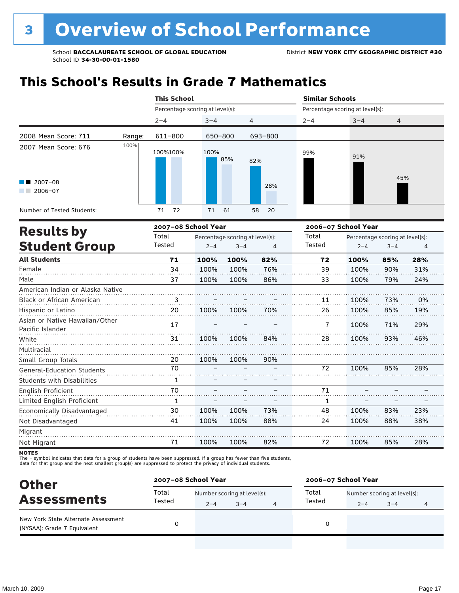## **This School's Results in Grade 7 Mathematics**

|                                                                      |        | <b>This School</b>              |             |                | <b>Similar Schools</b> |                                                                                                                                 |     |
|----------------------------------------------------------------------|--------|---------------------------------|-------------|----------------|------------------------|---------------------------------------------------------------------------------------------------------------------------------|-----|
|                                                                      |        | Percentage scoring at level(s): |             |                |                        | Percentage scoring at level(s):                                                                                                 |     |
|                                                                      |        | $2 - 4$                         | $3 - 4$     | $\overline{4}$ | $2 - 4$                | $3 - 4$                                                                                                                         | 4   |
| 2008 Mean Score: 711                                                 | Range: | 611-800                         | 650-800     | 693-800        |                        |                                                                                                                                 |     |
| 2007 Mean Score: 676<br>$\blacksquare$ 2007-08<br>2006-07<br>a sa Ba | 100%   | 100%100%                        | 100%<br>85% | 82%<br>28%     | 99%                    | 91%                                                                                                                             | 45% |
| Number of Tested Students:                                           |        | 72<br>71                        | 71<br>61    | 58<br>- 20     |                        |                                                                                                                                 |     |
|                                                                      |        |                                 |             |                |                        | $\mathbf{a} \cdot \mathbf{b} \cdot \mathbf{c} = \mathbf{c} \cdot \mathbf{b} \cdot \mathbf{c} \cdot \mathbf{b} \cdot \mathbf{c}$ |     |

|                                                    |        | 2007-08 School Year |                                 |     |               | 2006-07 School Year |                                 |     |
|----------------------------------------------------|--------|---------------------|---------------------------------|-----|---------------|---------------------|---------------------------------|-----|
| <b>Results by</b>                                  | Total  |                     | Percentage scoring at level(s): |     | Total         |                     | Percentage scoring at level(s): |     |
| <b>Student Group</b>                               | Tested | $2 - 4$             | $3 - 4$                         | 4   | <b>Tested</b> | $2 - 4$             | $3 - 4$                         | 4   |
| <b>All Students</b>                                | 71     | 100%                | 100%                            | 82% | 72            | 100%                | 85%                             | 28% |
| Female                                             | 34     | 100%                | 100%                            | 76% | 39            | 100%                | 90%                             | 31% |
| Male                                               | 37     | 100%                | 100%                            | 86% | 33            | 100%                | 79%                             | 24% |
| American Indian or Alaska Native                   |        |                     |                                 |     |               |                     |                                 |     |
| <b>Black or African American</b>                   | 3      |                     |                                 |     | 11            | 100%                | 73%                             | 0%  |
| Hispanic or Latino                                 | 20     | 100%                | 100%                            | 70% | 26            | 100%                | 85%                             | 19% |
| Asian or Native Hawaiian/Other<br>Pacific Islander | 17     |                     |                                 |     | 7             | 100%                | 71%                             | 29% |
| White                                              | 31     | 100%                | 100%                            | 84% | 28            | 100%                | 93%                             | 46% |
| Multiracial                                        |        |                     |                                 |     |               |                     |                                 |     |
| Small Group Totals                                 | 20     | 100%                | 100%                            | 90% |               |                     |                                 |     |
| <b>General-Education Students</b>                  | 70     |                     |                                 |     | 72            | 100%                | 85%                             | 28% |
| <b>Students with Disabilities</b>                  | 1      |                     |                                 |     |               |                     |                                 |     |
| English Proficient                                 | 70     |                     |                                 |     | 71            |                     |                                 |     |
| Limited English Proficient                         | 1      |                     |                                 |     | 1             |                     |                                 |     |
| Economically Disadvantaged                         | 30     | 100%                | 100%                            | 73% | 48            | 100%                | 83%                             | 23% |
| Not Disadvantaged                                  | 41     | 100%                | 100%                            | 88% | 24            | 100%                | 88%                             | 38% |
| Migrant                                            |        |                     |                                 |     |               |                     |                                 |     |
| Not Migrant                                        | 71     | 100%                | 100%                            | 82% | 72            | 100%                | 85%                             | 28% |

**NOTES** 

The – symbol indicates that data for a group of students have been suppressed. If a group has fewer than five students,<br>data for that group and the next smallest group(s) are suppressed to protect the privacy of individual

| <b>Other</b><br><b>Assessments</b><br>New York State Alternate Assessment<br>(NYSAA): Grade 7 Equivalent | 2007-08 School Year |                             |         |  | 2006-07 School Year |                             |         |  |  |
|----------------------------------------------------------------------------------------------------------|---------------------|-----------------------------|---------|--|---------------------|-----------------------------|---------|--|--|
|                                                                                                          | Total               | Number scoring at level(s): |         |  | Total               | Number scoring at level(s): |         |  |  |
|                                                                                                          | Tested              | $2 - 4$                     | $3 - 4$ |  | Tested              | $2 - 4$                     | $3 - 4$ |  |  |
|                                                                                                          |                     |                             |         |  | 0                   |                             |         |  |  |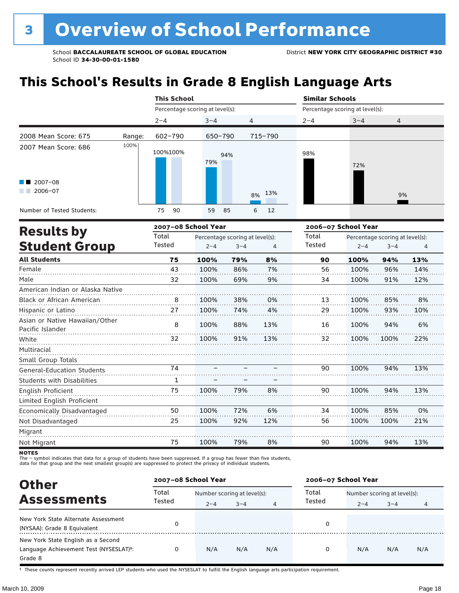## **This School's Results in Grade 8 English Language Arts**

|                                                           |        | <b>This School</b>              |                                 |         | <b>Similar Schools</b> |                                 |                                 |
|-----------------------------------------------------------|--------|---------------------------------|---------------------------------|---------|------------------------|---------------------------------|---------------------------------|
|                                                           |        | Percentage scoring at level(s): |                                 |         |                        | Percentage scoring at level(s): |                                 |
|                                                           |        | $2 - 4$                         | $3 - 4$                         | 4       | $2 - 4$                | $3 - 4$                         | 4                               |
| 2008 Mean Score: 675                                      | Range: | 602-790                         | 650-790                         | 715-790 |                        |                                 |                                 |
| 2007 Mean Score: 686<br>$\blacksquare$ 2007-08<br>2006-07 | 100%   | 100%100%                        | 94%<br>79%                      | 8% 13%  | 98%                    | 72%                             | 9%                              |
| Number of Tested Students:                                |        | 90<br>75                        | 59<br>85                        | 6<br>12 |                        |                                 |                                 |
| <b>Results by</b>                                         |        | 2007-08 School Year             |                                 |         |                        | 2006-07 School Year             |                                 |
|                                                           |        | Total                           | Percentage scoring at level(s). |         | Total                  |                                 | Percentage scoring at level(s). |

| <b>Results by</b>                                  | Total  |         | Percentage scoring at level(s): |     | Total  |         | Percentage scoring at level(s): |     |
|----------------------------------------------------|--------|---------|---------------------------------|-----|--------|---------|---------------------------------|-----|
| <b>Student Group</b>                               | Tested | $2 - 4$ | $3 - 4$                         | 4   | Tested | $2 - 4$ | $3 - 4$                         | 4   |
| <b>All Students</b>                                | 75     | 100%    | 79%                             | 8%  | 90     | 100%    | 94%                             | 13% |
| Female                                             | 43     | 100%    | 86%                             | 7%  | 56     | 100%    | 96%                             | 14% |
| Male                                               | 32     | 100%    | 69%                             | 9%  | 34     | 100%    | 91%                             | 12% |
| American Indian or Alaska Native                   |        |         |                                 |     |        |         |                                 |     |
| <b>Black or African American</b>                   | 8      | 100%    | 38%                             | 0%  | 13     | 100%    | 85%                             | 8%  |
| Hispanic or Latino                                 | 27     | 100%    | 74%                             | 4%  | 29     | 100%    | 93%                             | 10% |
| Asian or Native Hawaiian/Other<br>Pacific Islander | 8      | 100%    | 88%                             | 13% | 16     | 100%    | 94%                             | 6%  |
| White                                              | 32     | 100%    | 91%                             | 13% | 32     | 100%    | 100%                            | 22% |
| Multiracial                                        |        |         |                                 |     |        |         |                                 |     |
| Small Group Totals                                 |        |         |                                 |     |        |         |                                 |     |
| <b>General-Education Students</b>                  | 74     |         |                                 |     | 90     | 100%    | 94%                             | 13% |
| <b>Students with Disabilities</b>                  | 1      |         |                                 |     |        |         |                                 |     |
| English Proficient                                 | 75     | 100%    | 79%                             | 8%  | 90     | 100%    | 94%                             | 13% |
| Limited English Proficient                         |        |         |                                 |     |        |         |                                 |     |
| Economically Disadvantaged                         | 50     | 100%    | 72%                             | 6%  | 34     | 100%    | 85%                             | 0%  |
| Not Disadvantaged                                  | 25     | 100%    | 92%                             | 12% | 56     | 100%    | 100%                            | 21% |
| Migrant                                            |        |         |                                 |     |        |         |                                 |     |
| Not Migrant                                        | 75     | 100%    | 79%                             | 8%  | 90     | 100%    | 94%                             | 13% |
|                                                    |        |         |                                 |     |        |         |                                 |     |

NOTES<br>The – symbol indicates that data for a group of students have been suppressed. If a group has fewer than five students,<br>data for that group and the next smallest group(s) are suppressed to protect the privacy of indi

| <b>Other</b>                                                                            | 2007-08 School Year |                                                                  |     |     | 2006-07 School Year |                             |         |     |
|-----------------------------------------------------------------------------------------|---------------------|------------------------------------------------------------------|-----|-----|---------------------|-----------------------------|---------|-----|
| <b>Assessments</b>                                                                      | Total               | Number scoring at level(s):<br>Tested<br>$3 - 4$<br>$2 - 4$<br>4 |     |     |                     | Number scoring at level(s): |         |     |
| New York State Alternate Assessment<br>(NYSAA): Grade 8 Equivalent                      |                     |                                                                  |     |     | Tested<br>0         | $2 - 4$                     | $3 - 4$ | 4   |
| New York State English as a Second<br>Language Achievement Test (NYSESLAT)t:<br>Grade 8 |                     | N/A                                                              | N/A | N/A | O                   | N/A                         | N/A     | N/A |

† These counts represent recently arrived LEP students who used the NYSESLAT to fulfill the English language arts participation requirement.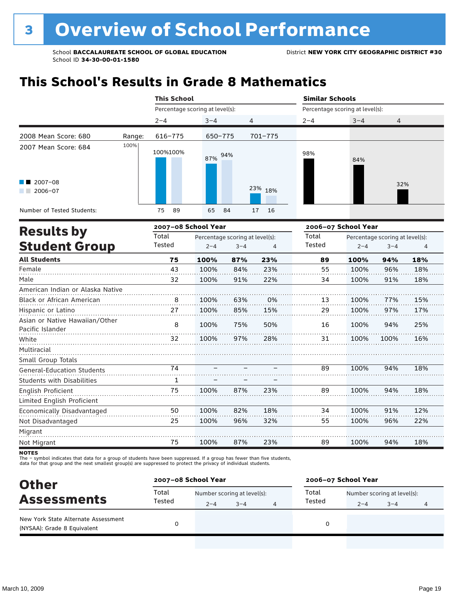## **This School's Results in Grade 8 Mathematics**

|                                                           |        | <b>This School</b>              |                                 |          | <b>Similar Schools</b> |                                 |                                 |
|-----------------------------------------------------------|--------|---------------------------------|---------------------------------|----------|------------------------|---------------------------------|---------------------------------|
|                                                           |        | Percentage scoring at level(s): |                                 |          |                        | Percentage scoring at level(s): |                                 |
|                                                           |        | $2 - 4$                         | $3 - 4$                         | 4        | $2 - 4$                | $3 - 4$                         | 4                               |
| 2008 Mean Score: 680                                      | Range: | 616-775                         | 650-775                         | 701-775  |                        |                                 |                                 |
| 2007 Mean Score: 684<br>$\blacksquare$ 2007-08<br>2006-07 | 100%   | 100%100%                        | 94%<br>87%                      | 23% 18%  | 98%                    | 84%                             | 32%                             |
| Number of Tested Students:                                |        | 89<br>75                        | 65<br>-84                       | 16<br>17 |                        |                                 |                                 |
| <b>Results by</b>                                         |        | 2007-08 School Year             |                                 |          |                        | 2006-07 School Year             |                                 |
|                                                           |        | Total                           | Percentage scoring at level(s). |          | Total                  |                                 | Percentage scoring at level(s). |

| IICANILA NY                                        | Total  |         | Percentage scoring at level(s): |     | Total  |         | Percentage scoring at level(s): |                |
|----------------------------------------------------|--------|---------|---------------------------------|-----|--------|---------|---------------------------------|----------------|
| <b>Student Group</b>                               | Tested | $2 - 4$ | $3 - 4$                         | 4   | Tested | $2 - 4$ | $3 - 4$                         | $\overline{4}$ |
| <b>All Students</b>                                | 75     | 100%    | 87%                             | 23% | 89     | 100%    | 94%                             | 18%            |
| Female                                             | 43     | 100%    | 84%                             | 23% | 55     | 100%    | 96%                             | 18%            |
| Male                                               | 32     | 100%    | 91%                             | 22% | 34     | 100%    | 91%                             | 18%            |
| American Indian or Alaska Native                   |        |         |                                 |     |        |         |                                 |                |
| Black or African American                          | 8      | 100%    | 63%                             | 0%  | 13     | 100%    | 77%                             | 15%            |
| Hispanic or Latino                                 | 27     | 100%    | 85%                             | 15% | 29     | 100%    | 97%                             | 17%            |
| Asian or Native Hawaiian/Other<br>Pacific Islander | 8      | 100%    | 75%                             | 50% | 16     | 100%    | 94%                             | 25%            |
| White                                              | 32     | 100%    | 97%                             | 28% | 31     | 100%    | 100%                            | 16%            |
| Multiracial                                        |        |         |                                 |     |        |         |                                 |                |
| Small Group Totals                                 |        |         |                                 |     |        |         |                                 |                |
| <b>General-Education Students</b>                  | 74     |         |                                 |     | 89     | 100%    | 94%                             | 18%            |
| <b>Students with Disabilities</b>                  | 1      |         |                                 |     |        |         |                                 |                |
| English Proficient                                 | 75     | 100%    | 87%                             | 23% | 89     | 100%    | 94%                             | 18%            |
| Limited English Proficient                         |        |         |                                 |     |        |         |                                 |                |
| Economically Disadvantaged                         | 50     | 100%    | 82%                             | 18% | 34     | 100%    | 91%                             | 12%            |
| Not Disadvantaged                                  | 25     | 100%    | 96%                             | 32% | 55     | 100%    | 96%                             | 22%            |
| Migrant                                            |        |         |                                 |     |        |         |                                 |                |
| Not Migrant                                        | 75     | 100%    | 87%                             | 23% | 89     | 100%    | 94%                             | 18%            |

**NOTES** 

The – symbol indicates that data for a group of students have been suppressed. If a group has fewer than five students,<br>data for that group and the next smallest group(s) are suppressed to protect the privacy of individual

| <b>Other</b><br><b>Assessments</b>                                 | 2007-08 School Year |                             |         |  | 2006-07 School Year |                             |         |   |  |
|--------------------------------------------------------------------|---------------------|-----------------------------|---------|--|---------------------|-----------------------------|---------|---|--|
|                                                                    | Total<br>Tested     | Number scoring at level(s): |         |  | Total               | Number scoring at level(s): |         |   |  |
|                                                                    |                     | $2 - 4$                     | $3 - 4$ |  | Tested              | $2 - 4$                     | $3 - 4$ | 4 |  |
| New York State Alternate Assessment<br>(NYSAA): Grade 8 Equivalent |                     |                             |         |  |                     |                             |         |   |  |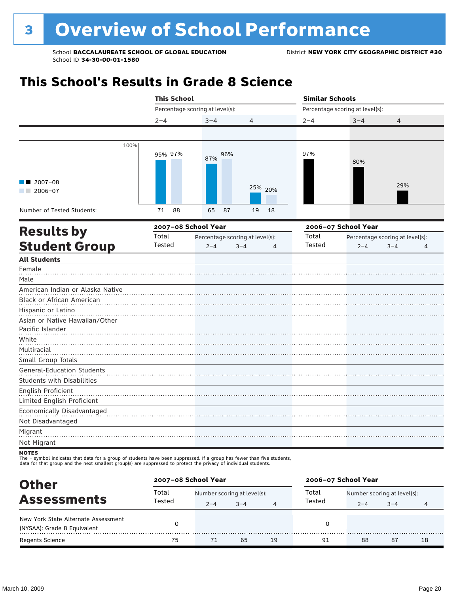## **This School's Results in Grade 8 Science**

|                                                    | <b>This School</b> |                                 |                                 | <b>Similar Schools</b> |                                 |                                 |  |  |
|----------------------------------------------------|--------------------|---------------------------------|---------------------------------|------------------------|---------------------------------|---------------------------------|--|--|
|                                                    |                    | Percentage scoring at level(s): |                                 |                        | Percentage scoring at level(s): |                                 |  |  |
|                                                    | $2 - 4$            | $3 - 4$                         | 4                               | $2 - 4$                | $3 - 4$                         | $\overline{4}$                  |  |  |
|                                                    |                    |                                 |                                 |                        |                                 |                                 |  |  |
| 100%                                               | 95% 97%            | 96%<br>87%                      |                                 | 97%                    | 80%                             |                                 |  |  |
| 2007-08<br>$2006 - 07$<br><b>Contract Contract</b> |                    |                                 | 25% 20%                         |                        |                                 | 29%                             |  |  |
| Number of Tested Students:                         | 71<br>88           | 65<br>87                        | 19<br>18                        |                        |                                 |                                 |  |  |
| <b>Results by</b>                                  |                    | 2007-08 School Year             |                                 |                        | 2006-07 School Year             |                                 |  |  |
|                                                    | Total              |                                 | Percentage scoring at level(s): | Total                  |                                 | Percentage scoring at level(s): |  |  |
| <b>Student Group</b>                               | Tested             | $2 - 4$                         | $3 - 4$<br>$\overline{4}$       | Tested                 | $2 - 4$                         | $3 - 4$<br>4                    |  |  |
| <b>All Students</b>                                |                    |                                 |                                 |                        |                                 |                                 |  |  |
| Female<br>Male                                     |                    |                                 |                                 |                        |                                 |                                 |  |  |
| American Indian or Alaska Native                   |                    |                                 |                                 |                        |                                 |                                 |  |  |
| Black or African American                          |                    |                                 |                                 |                        |                                 |                                 |  |  |
| Hispanic or Latino                                 |                    |                                 |                                 |                        |                                 |                                 |  |  |
| Asian or Native Hawaiian/Other                     |                    |                                 |                                 |                        |                                 |                                 |  |  |
| Pacific Islander                                   |                    |                                 |                                 |                        |                                 |                                 |  |  |
| White                                              |                    |                                 |                                 |                        |                                 |                                 |  |  |
| Multiracial                                        |                    |                                 |                                 |                        |                                 |                                 |  |  |
| Small Group Totals                                 |                    |                                 |                                 |                        |                                 |                                 |  |  |
| <b>General-Education Students</b>                  |                    |                                 |                                 |                        |                                 |                                 |  |  |
| <b>Students with Disabilities</b>                  |                    |                                 |                                 |                        |                                 |                                 |  |  |
| English Proficient<br>Limited English Proficient   |                    |                                 |                                 |                        |                                 |                                 |  |  |
| Economically Disadvantaged                         |                    |                                 |                                 |                        |                                 |                                 |  |  |
| Not Disadvantaged                                  |                    |                                 |                                 |                        |                                 |                                 |  |  |
| Migrant                                            |                    |                                 |                                 |                        |                                 |                                 |  |  |
| Not Migrant                                        |                    |                                 |                                 |                        |                                 |                                 |  |  |
| <b>NOTES</b>                                       |                    |                                 |                                 |                        |                                 |                                 |  |  |

NOTES<br>The – symbol indicates that data for a group of students have been suppressed. If a group has fewer than five students,

data for that group and the next smallest group(s) are suppressed to protect the privacy of individual students.

| <b>Other</b>                                                       |        | 2007-08 School Year         |         |    | 2006-07 School Year |                             |         |    |  |
|--------------------------------------------------------------------|--------|-----------------------------|---------|----|---------------------|-----------------------------|---------|----|--|
| <b>Assessments</b>                                                 | Total  | Number scoring at level(s): |         |    | Total               | Number scoring at level(s): |         |    |  |
|                                                                    | Tested | $2 - 4$                     | $3 - 4$ |    | Tested              | $2 - 4$                     | $3 - 4$ | 4  |  |
| New York State Alternate Assessment<br>(NYSAA): Grade 8 Equivalent |        |                             |         |    |                     |                             |         |    |  |
| <b>Regents Science</b>                                             | 75     | 71                          | 65      | 19 | 91                  | 88                          | 87      | 18 |  |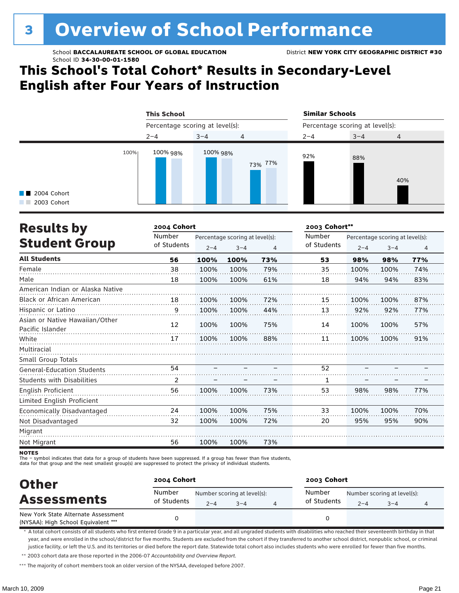# <sup>3</sup> Overview of School Performance

School **BACCALAUREATE SCHOOL OF GLOBAL EDUCATION** District **NEW YORK CITY GEOGRAPHIC DISTRICT #30** School ID **34-30-00-01-1580**

## **This School's Total Cohort\* Results in Secondary-Level English after Four Years of Instruction**

|                                             | <b>This School</b>              |          |                | <b>Similar Schools</b>          |         |                |  |
|---------------------------------------------|---------------------------------|----------|----------------|---------------------------------|---------|----------------|--|
|                                             | Percentage scoring at level(s): |          |                | Percentage scoring at level(s): |         |                |  |
|                                             | $2 - 4$                         | $3 - 4$  | $\overline{4}$ | $2 - 4$                         | $3 - 4$ | $\overline{4}$ |  |
| 100%<br><b>1</b> 2004 Cohort<br>2003 Cohort | 100% 98%                        | 100% 98% | 73% 77%        | 92%                             | 88%     | 40%            |  |

| <b>Results by</b>                                  | 2004 Cohort |                                 |         |     | 2003 Cohort** |                                 |         |                |  |
|----------------------------------------------------|-------------|---------------------------------|---------|-----|---------------|---------------------------------|---------|----------------|--|
|                                                    | Number      | Percentage scoring at level(s): |         |     | Number        | Percentage scoring at level(s): |         |                |  |
| <b>Student Group</b>                               | of Students | $2 - 4$                         | $3 - 4$ | 4   | of Students   | $2 - 4$                         | $3 - 4$ | $\overline{4}$ |  |
| <b>All Students</b>                                | 56          | 100%                            | 100%    | 73% | 53            | 98%                             | 98%     | 77%            |  |
| Female                                             | 38          | 100%                            | 100%    | 79% | 35            | 100%                            | 100%    | 74%            |  |
| Male                                               | 18          | 100%                            | 100%    | 61% | 18            | 94%                             | 94%     | 83%            |  |
| American Indian or Alaska Native                   |             |                                 |         |     |               |                                 |         |                |  |
| Black or African American                          | 18          | 100%                            | 100%    | 72% | 15            | 100%                            | 100%    | 87%            |  |
| Hispanic or Latino                                 | 9           | 100%                            | 100%    | 44% | 13            | 92%                             | 92%     | 77%            |  |
| Asian or Native Hawaiian/Other<br>Pacific Islander | 12          | 100%                            | 100%    | 75% | 14            | 100%                            | 100%    | 57%            |  |
| White                                              | 17          | 100%                            | 100%    | 88% | 11            | 100%                            | 100%    | 91%            |  |
| Multiracial                                        |             |                                 |         |     |               |                                 |         |                |  |
| Small Group Totals                                 |             |                                 |         |     |               |                                 |         |                |  |
| <b>General-Education Students</b>                  | 54          |                                 |         |     | 52            |                                 |         |                |  |
| <b>Students with Disabilities</b>                  | 2           |                                 |         |     | 1             |                                 |         |                |  |
| English Proficient                                 | 56          | 100%                            | 100%    | 73% | 53            | 98%                             | 98%     | 77%            |  |
| Limited English Proficient                         |             |                                 |         |     |               |                                 |         |                |  |
| Economically Disadvantaged                         | 24          | 100%                            | 100%    | 75% | 33            | 100%                            | 100%    | 70%            |  |
| Not Disadvantaged                                  | 32          | 100%                            | 100%    | 72% | 20            | 95%                             | 95%     | 90%            |  |
| Migrant                                            |             |                                 |         |     |               |                                 |         |                |  |
| Not Migrant                                        | 56          | 100%                            | 100%    | 73% |               |                                 |         |                |  |

**NOTES** 

The – symbol indicates that data for a group of students have been suppressed. If a group has fewer than five students,<br>data for that group and the next smallest group(s) are suppressed to protect the privacy of individual

| <b>Other</b><br><b>Assessments</b>                                         | 2004 Cohort           |         |                                        | 2003 Cohort           |         |                                        |  |  |  |
|----------------------------------------------------------------------------|-----------------------|---------|----------------------------------------|-----------------------|---------|----------------------------------------|--|--|--|
|                                                                            | Number<br>of Students | $2 - 4$ | Number scoring at level(s):<br>$3 - 4$ | Number<br>of Students | $2 - 4$ | Number scoring at level(s):<br>$3 - 4$ |  |  |  |
| New York State Alternate Assessment<br>(NYSAA): High School Equivalent *** |                       |         |                                        |                       |         |                                        |  |  |  |

\* A total cohort consists of all students who first entered Grade 9 in a particular year, and all ungraded students with disabilities who reached their seventeenth birthday in that year, and were enrolled in the school/district for five months. Students are excluded from the cohort if they transferred to another school district, nonpublic school, or criminal justice facility, or left the U.S. and its territories or died before the report date. Statewide total cohort also includes students who were enrolled for fewer than five months.

\*\* 2003 cohort data are those reported in the 2006-07 *Accountability and Overview Report*.

\*\*\* The majority of cohort members took an older version of the NYSAA, developed before 2007.